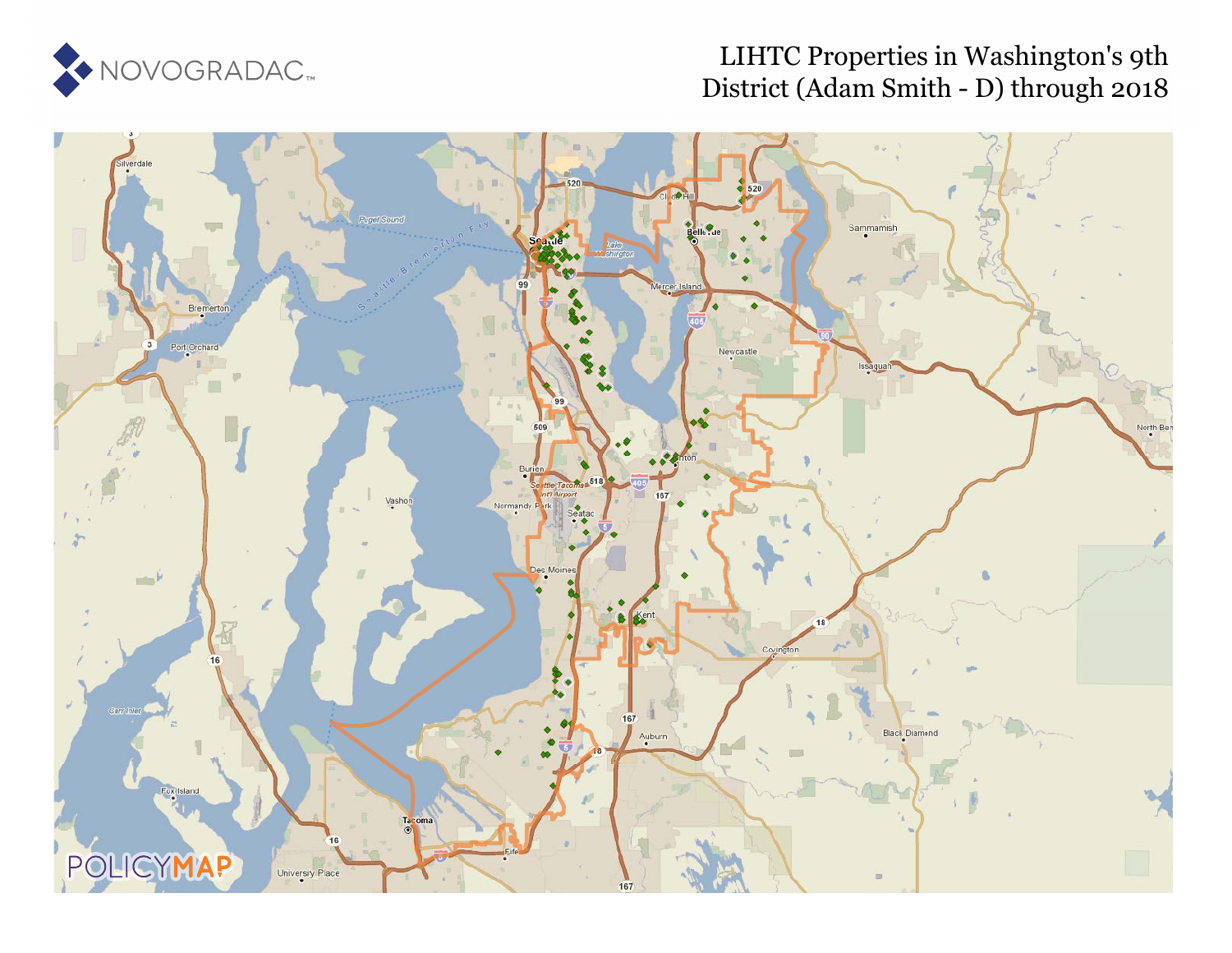

# LIHTC Properties in Washington's 9th District (Adam Smith - D) through 2018

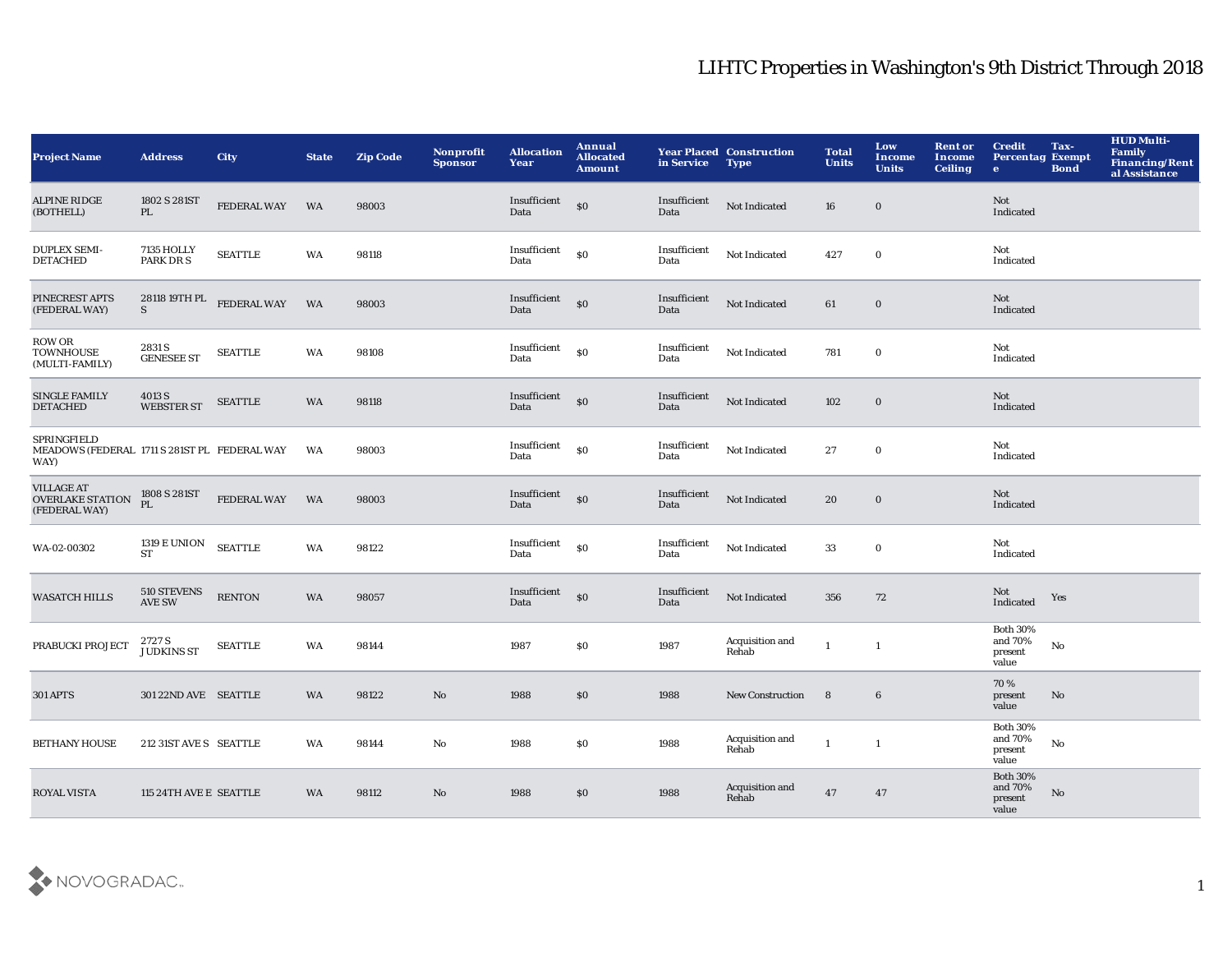| <b>Project Name</b>                                                 | <b>Address</b>                   | <b>City</b>        | <b>State</b> | <b>Zip Code</b> | Nonprofit<br>Sponsor | <b>Allocation</b><br>Year          | Annual<br><b>Allocated</b><br><b>Amount</b>      | in Service           | <b>Year Placed Construction</b><br><b>Type</b> | <b>Total</b><br><b>Units</b> | Low<br><b>Income</b><br><b>Units</b> | <b>Rent or</b><br><b>Income</b><br><b>Ceiling</b> | <b>Credit</b><br><b>Percentag Exempt</b><br>$\bullet$ | Tax-<br><b>Bond</b> | <b>HUD Multi-</b><br>Family<br>Financing/Rent<br>al Assistance |
|---------------------------------------------------------------------|----------------------------------|--------------------|--------------|-----------------|----------------------|------------------------------------|--------------------------------------------------|----------------------|------------------------------------------------|------------------------------|--------------------------------------|---------------------------------------------------|-------------------------------------------------------|---------------------|----------------------------------------------------------------|
| <b>ALPINE RIDGE</b><br>(BOTHELL)                                    | 1802 S 281ST<br>PL               | <b>FEDERAL WAY</b> | WA           | 98003           |                      | Insufficient<br>Data               | \$0                                              | Insufficient<br>Data | Not Indicated                                  | 16                           | $\mathbf 0$                          |                                                   | Not<br>Indicated                                      |                     |                                                                |
| <b>DUPLEX SEMI-</b><br><b>DETACHED</b>                              | 7135 HOLLY<br>PARK DR S          | <b>SEATTLE</b>     | WA           | 98118           |                      | Insufficient<br>Data               | <sub>so</sub>                                    | Insufficient<br>Data | Not Indicated                                  | 427                          | $\mathbf 0$                          |                                                   | Not<br>Indicated                                      |                     |                                                                |
| PINECREST APTS<br>(FEDERAL WAY)                                     | 28118 19TH PL<br>S               | FEDERAL WAY        | WA           | 98003           |                      | Insufficient <sub>SO</sub><br>Data |                                                  | Insufficient<br>Data | Not Indicated                                  | 61                           | $\mathbf 0$                          |                                                   | Not<br>Indicated                                      |                     |                                                                |
| ROW OR<br><b>TOWNHOUSE</b><br>(MULTI-FAMILY)                        | 2831 S<br><b>GENESEE ST</b>      | <b>SEATTLE</b>     | WA           | 98108           |                      | Insufficient<br>Data               | $\boldsymbol{\mathsf{S}}\boldsymbol{\mathsf{O}}$ | Insufficient<br>Data | Not Indicated                                  | 781                          | $\mathbf 0$                          |                                                   | Not<br>Indicated                                      |                     |                                                                |
| <b>SINGLE FAMILY</b><br><b>DETACHED</b>                             | 4013 S<br><b>WEBSTER ST</b>      | <b>SEATTLE</b>     | WA           | 98118           |                      | Insufficient<br>Data               | $\mathbf{s}$ o                                   | Insufficient<br>Data | Not Indicated                                  | 102                          | $\bf{0}$                             |                                                   | Not<br>Indicated                                      |                     |                                                                |
| SPRINGFIELD<br>MEADOWS (FEDERAL 1711 S 281ST PL FEDERAL WAY<br>WAY) |                                  |                    | WA           | 98003           |                      | Insufficient<br>Data               | $\mathbf{S}$                                     | Insufficient<br>Data | Not Indicated                                  | 27                           | $\bf{0}$                             |                                                   | Not<br>Indicated                                      |                     |                                                                |
| <b>VILLAGE AT</b><br><b>OVERLAKE STATION</b><br>(FEDERAL WAY)       | 1808 S 281ST<br>PI.              | FEDERAL WAY        | <b>WA</b>    | 98003           |                      | Insufficient<br>Data               | \$0                                              | Insufficient<br>Data | Not Indicated                                  | 20                           | $\bf{0}$                             |                                                   | Not<br>Indicated                                      |                     |                                                                |
| WA-02-00302                                                         | <b>1319 E UNION</b><br><b>ST</b> | <b>SEATTLE</b>     | WA           | 98122           |                      | Insufficient<br>Data               | \$0                                              | Insufficient<br>Data | Not Indicated                                  | 33                           | $\mathbf 0$                          |                                                   | Not<br>Indicated                                      |                     |                                                                |
| <b>WASATCH HILLS</b>                                                | 510 STEVENS<br><b>AVE SW</b>     | <b>RENTON</b>      | WA           | 98057           |                      | Insufficient<br>Data               | \$0                                              | Insufficient<br>Data | Not Indicated                                  | 356                          | 72                                   |                                                   | Not<br>Indicated                                      | Yes                 |                                                                |
| PRABUCKI PROJECT                                                    | 2727 S<br><b>JUDKINS ST</b>      | <b>SEATTLE</b>     | WA           | 98144           |                      | 1987                               | \$0                                              | 1987                 | Acquisition and<br>Rehab                       | $\mathbf{1}$                 | $\mathbf{1}$                         |                                                   | <b>Both 30%</b><br>and 70%<br>present<br>value        | No                  |                                                                |
| <b>301 APTS</b>                                                     | 301 22ND AVE SEATTLE             |                    | WA           | 98122           | $\mathbf{No}$        | 1988                               | \$0                                              | 1988                 | <b>New Construction</b>                        | 8                            | $\bf 6$                              |                                                   | 70%<br>present<br>value                               | No                  |                                                                |
| <b>BETHANY HOUSE</b>                                                | 212 31ST AVE S SEATTLE           |                    | WA           | 98144           | No                   | 1988                               | <b>SO</b>                                        | 1988                 | Acquisition and<br>Rehab                       | $\mathbf{1}$                 | $\mathbf{1}$                         |                                                   | <b>Both 30%</b><br>and $70\%$<br>present<br>value     | No                  |                                                                |
| <b>ROYAL VISTA</b>                                                  | 115 24TH AVE E SEATTLE           |                    | <b>WA</b>    | 98112           | $\mathbf{No}$        | 1988                               | \$0                                              | 1988                 | Acquisition and<br>Rehab                       | 47                           | 47                                   |                                                   | <b>Both 30%</b><br>and 70%<br>present<br>value        | No                  |                                                                |

![](_page_1_Picture_2.jpeg)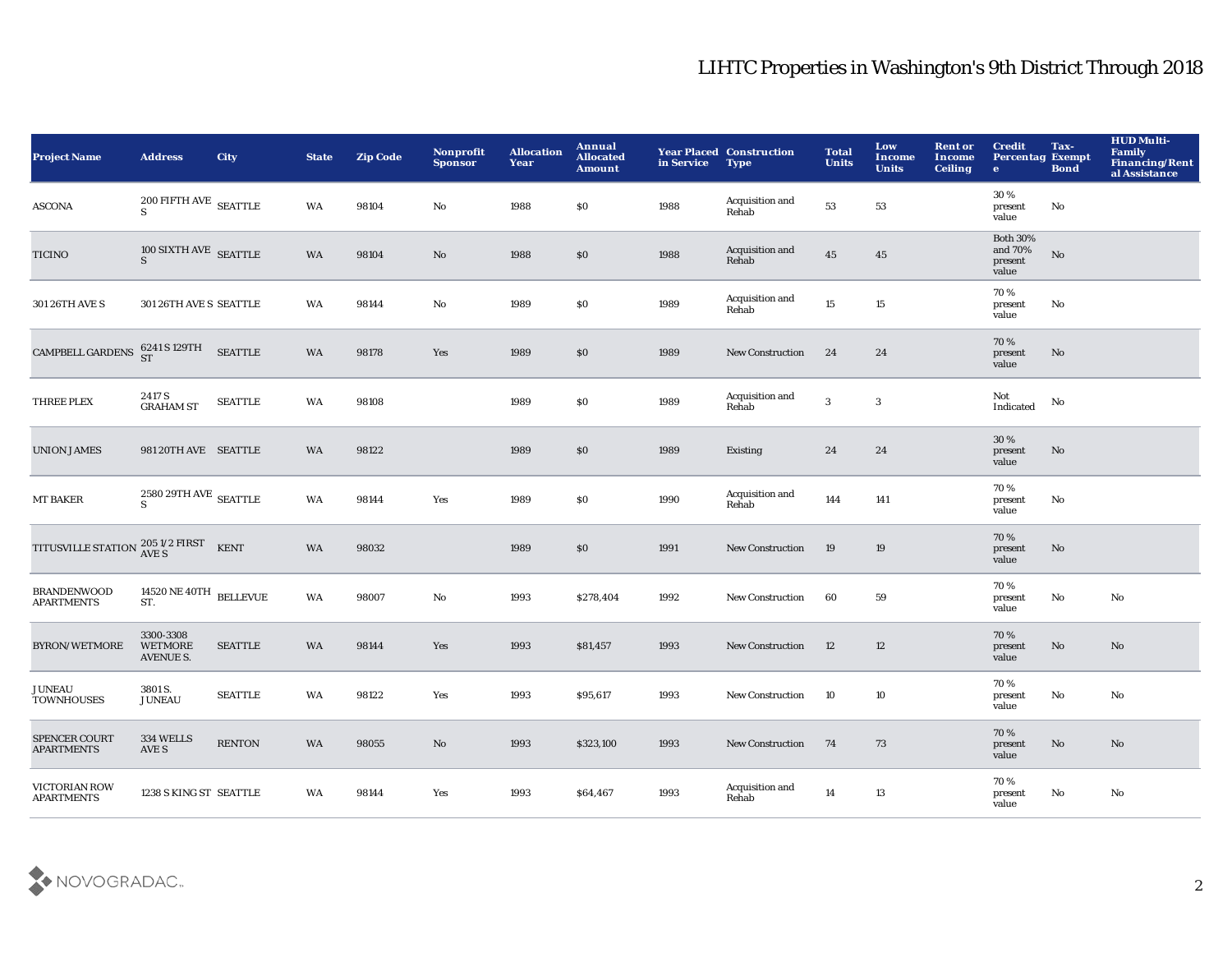| <b>Project Name</b>                                      | <b>Address</b>                                           | <b>City</b>    | <b>State</b> | <b>Zip Code</b> | Nonprofit<br><b>Sponsor</b> | <b>Allocation</b><br>Year | Annual<br><b>Allocated</b><br><b>Amount</b> | in Service | <b>Year Placed Construction</b><br><b>Type</b> | <b>Total</b><br><b>Units</b> | Low<br><b>Income</b><br><b>Units</b> | <b>Rent or</b><br><b>Income</b><br><b>Ceiling</b> | <b>Credit</b><br><b>Percentag Exempt</b><br>$\bullet$ | Tax-<br><b>Bond</b> | <b>HUD Multi-</b><br>Family<br>Financing/Rent<br>al Assistance |
|----------------------------------------------------------|----------------------------------------------------------|----------------|--------------|-----------------|-----------------------------|---------------------------|---------------------------------------------|------------|------------------------------------------------|------------------------------|--------------------------------------|---------------------------------------------------|-------------------------------------------------------|---------------------|----------------------------------------------------------------|
| ASCONA                                                   | $200$ FIFTH AVE $\,$ SEATTLE<br>$\leq$                   |                | <b>WA</b>    | 98104           | No                          | 1988                      | \$0                                         | 1988       | Acquisition and<br>Rehab                       | 53                           | 53                                   |                                                   | 30 %<br>present<br>value                              | No                  |                                                                |
| <b>TICINO</b>                                            | $\frac{100 \text{ SIXTH} \text{ AVE}}{\text{S}}$ SEATTLE |                | WA           | 98104           | $\rm No$                    | 1988                      | \$0                                         | 1988       | Acquisition and<br>Rehab                       | 45                           | 45                                   |                                                   | <b>Both 30%</b><br>and 70%<br>present<br>value        | $\rm No$            |                                                                |
| 301 26TH AVE S                                           | 301 26TH AVE S SEATTLE                                   |                | WA           | 98144           | No                          | 1989                      | \$0                                         | 1989       | Acquisition and<br>Rehab                       | 15                           | 15                                   |                                                   | 70%<br>present<br>value                               | No                  |                                                                |
| <b>CAMPBELL GARDENS</b>                                  | 6241 S 129TH<br>ST                                       | <b>SEATTLE</b> | WA           | 98178           | Yes                         | 1989                      | \$0                                         | 1989       | <b>New Construction</b>                        | 24                           | 24                                   |                                                   | 70%<br>present<br>value                               | No                  |                                                                |
| THREE PLEX                                               | 2417 S<br><b>GRAHAM ST</b>                               | <b>SEATTLE</b> | <b>WA</b>    | 98108           |                             | 1989                      | \$0                                         | 1989       | Acquisition and<br>Rehab                       | 3                            | 3                                    |                                                   | Not<br>Indicated                                      | No                  |                                                                |
| <b>UNION JAMES</b>                                       | 981 20TH AVE SEATTLE                                     |                | <b>WA</b>    | 98122           |                             | 1989                      | $\$0$                                       | 1989       | <b>Existing</b>                                | 24                           | 24                                   |                                                   | 30%<br>present<br>value                               | No                  |                                                                |
| <b>MT BAKER</b>                                          | $2580\,29\mathrm{TH}\,\mathrm{AVE}$ SEATTLE              |                | WA           | 98144           | Yes                         | 1989                      | \$0                                         | 1990       | Acquisition and<br>Rehab                       | 144                          | 141                                  |                                                   | 70%<br>present<br>value                               | No                  |                                                                |
| TITUSVILLE STATION $_{\rm AVE\,S}^{205\,1/2\,\rm FIRST}$ |                                                          | KENT           | <b>WA</b>    | 98032           |                             | 1989                      | \$0                                         | 1991       | <b>New Construction</b>                        | 19                           | 19                                   |                                                   | 70%<br>present<br>value                               | No                  |                                                                |
| <b>BRANDENWOOD</b><br><b>APARTMENTS</b>                  | $14520\,\mathrm{NE}\,40\mathrm{TH}$ BELLEVUE<br>ST.      |                | WA           | 98007           | No                          | 1993                      | \$278,404                                   | 1992       | <b>New Construction</b>                        | 60                           | 59                                   |                                                   | 70%<br>present<br>value                               | No                  | No                                                             |
| BYRON/WETMORE                                            | 3300-3308<br><b>WETMORE</b><br><b>AVENUE S.</b>          | <b>SEATTLE</b> | <b>WA</b>    | 98144           | Yes                         | 1993                      | \$81,457                                    | 1993       | <b>New Construction</b>                        | 12                           | 12                                   |                                                   | 70%<br>present<br>value                               | No                  | No                                                             |
| <b>JUNEAU</b><br><b>TOWNHOUSES</b>                       | 3801 S.<br><b>JUNEAU</b>                                 | <b>SEATTLE</b> | WA           | 98122           | Yes                         | 1993                      | \$95,617                                    | 1993       | <b>New Construction</b>                        | 10                           | 10                                   |                                                   | 70%<br>present<br>value                               | No                  | No                                                             |
| SPENCER COURT<br><b>APARTMENTS</b>                       | 334 WELLS<br>AVE S                                       | <b>RENTON</b>  | <b>WA</b>    | 98055           | No                          | 1993                      | \$323,100                                   | 1993       | <b>New Construction</b>                        | 74                           | 73                                   |                                                   | 70%<br>present<br>value                               | No                  | No                                                             |
| VICTORIAN ROW<br><b>APARTMENTS</b>                       | 1238 S KING ST SEATTLE                                   |                | WA           | 98144           | Yes                         | 1993                      | \$64,467                                    | 1993       | Acquisition and<br>Rehab                       | 14                           | 13                                   |                                                   | 70%<br>present<br>value                               | No                  | No                                                             |

![](_page_2_Picture_2.jpeg)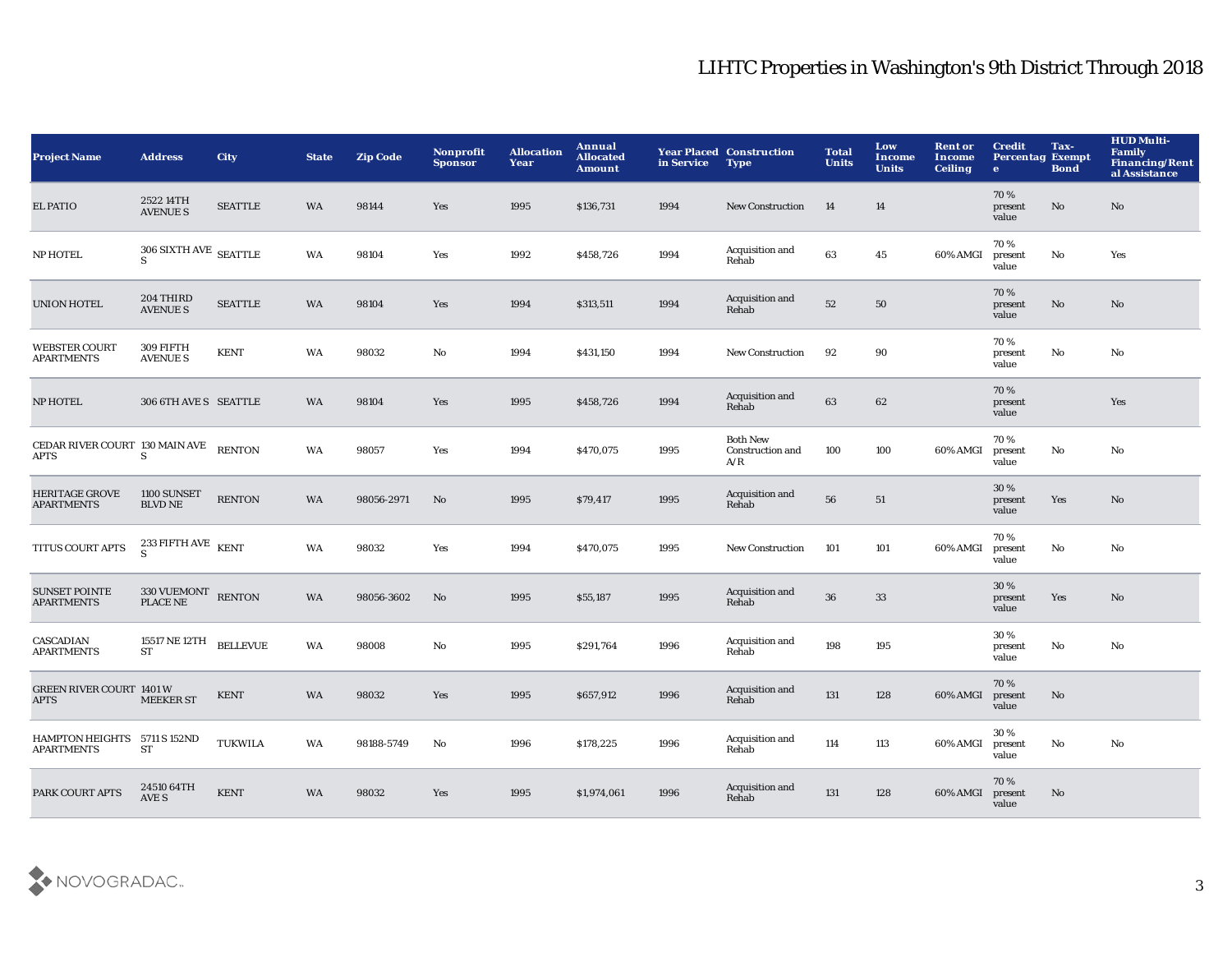| <b>Project Name</b>                               | <b>Address</b>                                                  | City            | <b>State</b> | <b>Zip Code</b> | Nonprofit<br><b>Sponsor</b> | <b>Allocation</b><br>Year | Annual<br><b>Allocated</b><br><b>Amount</b> | in Service | <b>Year Placed Construction</b><br><b>Type</b> | <b>Total</b><br><b>Units</b> | Low<br>Income<br><b>Units</b> | <b>Rent or</b><br><b>Income</b><br><b>Ceiling</b> | <b>Credit</b><br><b>Percentag Exempt</b><br>$\bullet$ | Tax-<br><b>Bond</b>    | <b>HUD Multi-</b><br>Family<br>Financing/Rent<br>al Assistance |
|---------------------------------------------------|-----------------------------------------------------------------|-----------------|--------------|-----------------|-----------------------------|---------------------------|---------------------------------------------|------------|------------------------------------------------|------------------------------|-------------------------------|---------------------------------------------------|-------------------------------------------------------|------------------------|----------------------------------------------------------------|
| <b>EL PATIO</b>                                   | 2522 14TH<br><b>AVENUE S</b>                                    | <b>SEATTLE</b>  | <b>WA</b>    | 98144           | Yes                         | 1995                      | \$136,731                                   | 1994       | <b>New Construction</b>                        | 14                           | 14                            |                                                   | 70%<br>present<br>value                               | No                     | No                                                             |
| <b>NP HOTEL</b>                                   | $306$ SIXTH AVE $\,$ SEATTLE<br>S                               |                 | WA           | 98104           | Yes                         | 1992                      | \$458,726                                   | 1994       | Acquisition and<br>Rehab                       | 63                           | 45                            | 60% AMGI                                          | 70%<br>present<br>value                               | $\mathbf{No}$          | Yes                                                            |
| <b>UNION HOTEL</b>                                | 204 THIRD<br><b>AVENUE S</b>                                    | <b>SEATTLE</b>  | WA           | 98104           | Yes                         | 1994                      | \$313,511                                   | 1994       | Acquisition and<br>Rehab                       | 52                           | 50                            |                                                   | 70%<br>present<br>value                               | $\mathbf{N}\mathbf{o}$ | $\mathbf{N}\mathbf{o}$                                         |
| <b>WEBSTER COURT</b><br><b>APARTMENTS</b>         | 309 FIFTH<br><b>AVENUE S</b>                                    | <b>KENT</b>     | WA           | 98032           | No                          | 1994                      | \$431,150                                   | 1994       | New Construction                               | 92                           | 90                            |                                                   | 70%<br>present<br>value                               | $\mathbf{N}\mathbf{o}$ | $\mathbf{N}\mathbf{o}$                                         |
| NP HOTEL                                          | 306 6TH AVE S SEATTLE                                           |                 | WA           | 98104           | Yes                         | 1995                      | \$458,726                                   | 1994       | Acquisition and<br>Rehab                       | 63                           | 62                            |                                                   | 70%<br>present<br>value                               |                        | Yes                                                            |
| CEDAR RIVER COURT 130 MAIN AVE<br><b>APTS</b>     | S                                                               | <b>RENTON</b>   | WA           | 98057           | Yes                         | 1994                      | \$470,075                                   | 1995       | <b>Both New</b><br>Construction and<br>A/R     | 100                          | 100                           | 60% AMGI                                          | 70%<br>present<br>value                               | $\mathbf{N}\mathbf{o}$ | No                                                             |
| <b>HERITAGE GROVE</b><br><b>APARTMENTS</b>        | 1100 SUNSET<br><b>BLVD NE</b>                                   | <b>RENTON</b>   | WA           | 98056-2971      | No                          | 1995                      | \$79,417                                    | 1995       | Acquisition and<br>Rehab                       | 56                           | ${\bf 51}$                    |                                                   | 30 %<br>present<br>value                              | Yes                    | $\mathbf{N}\mathbf{o}$                                         |
| TITUS COURT APTS                                  | $^{233\,$ FIFTH AVE $\,$ KENT $\,$                              |                 | WA           | 98032           | Yes                         | 1994                      | \$470,075                                   | 1995       | <b>New Construction</b>                        | 101                          | 101                           | 60% AMGI                                          | 70%<br>present<br>value                               | $\rm No$               | No                                                             |
| <b>SUNSET POINTE</b><br><b>APARTMENTS</b>         | $330\,\mbox{VUEMONT} \quad \mbox{RENTON} \label{eq:2}$ PLACE NE |                 | WA           | 98056-3602      | No                          | 1995                      | \$55,187                                    | 1995       | Acquisition and<br>Rehab                       | 36                           | $33\,$                        |                                                   | 30%<br>present<br>value                               | Yes                    | No                                                             |
| CASCADIAN<br><b>APARTMENTS</b>                    | 15517 NE 12TH<br><b>ST</b>                                      | <b>BELLEVUE</b> | WA           | 98008           | No                          | 1995                      | \$291,764                                   | 1996       | Acquisition and<br>Rehab                       | 198                          | 195                           |                                                   | 30 %<br>present<br>value                              | No                     | $\rm No$                                                       |
| <b>GREEN RIVER COURT 1401 W</b><br><b>APTS</b>    | <b>MEEKER ST</b>                                                | <b>KENT</b>     | WA           | 98032           | Yes                         | 1995                      | \$657,912                                   | 1996       | Acquisition and<br>Rehab                       | 131                          | 128                           | 60% AMGI                                          | 70%<br>present<br>value                               | No                     |                                                                |
| HAMPTON HEIGHTS 5711 S 152ND<br><b>APARTMENTS</b> | ST                                                              | <b>TUKWILA</b>  | <b>WA</b>    | 98188-5749      | No                          | 1996                      | \$178,225                                   | 1996       | Acquisition and<br>Rehab                       | 114                          | 113                           | 60% AMGI                                          | 30%<br>present<br>value                               | No                     | $\mathbf{N}\mathbf{o}$                                         |
| PARK COURT APTS                                   | 24510 64TH<br>AVE S                                             | <b>KENT</b>     | WA           | 98032           | Yes                         | 1995                      | \$1,974,061                                 | 1996       | Acquisition and<br>Rehab                       | 131                          | 128                           | 60% AMGI                                          | 70%<br>present<br>value                               | No                     |                                                                |

![](_page_3_Picture_2.jpeg)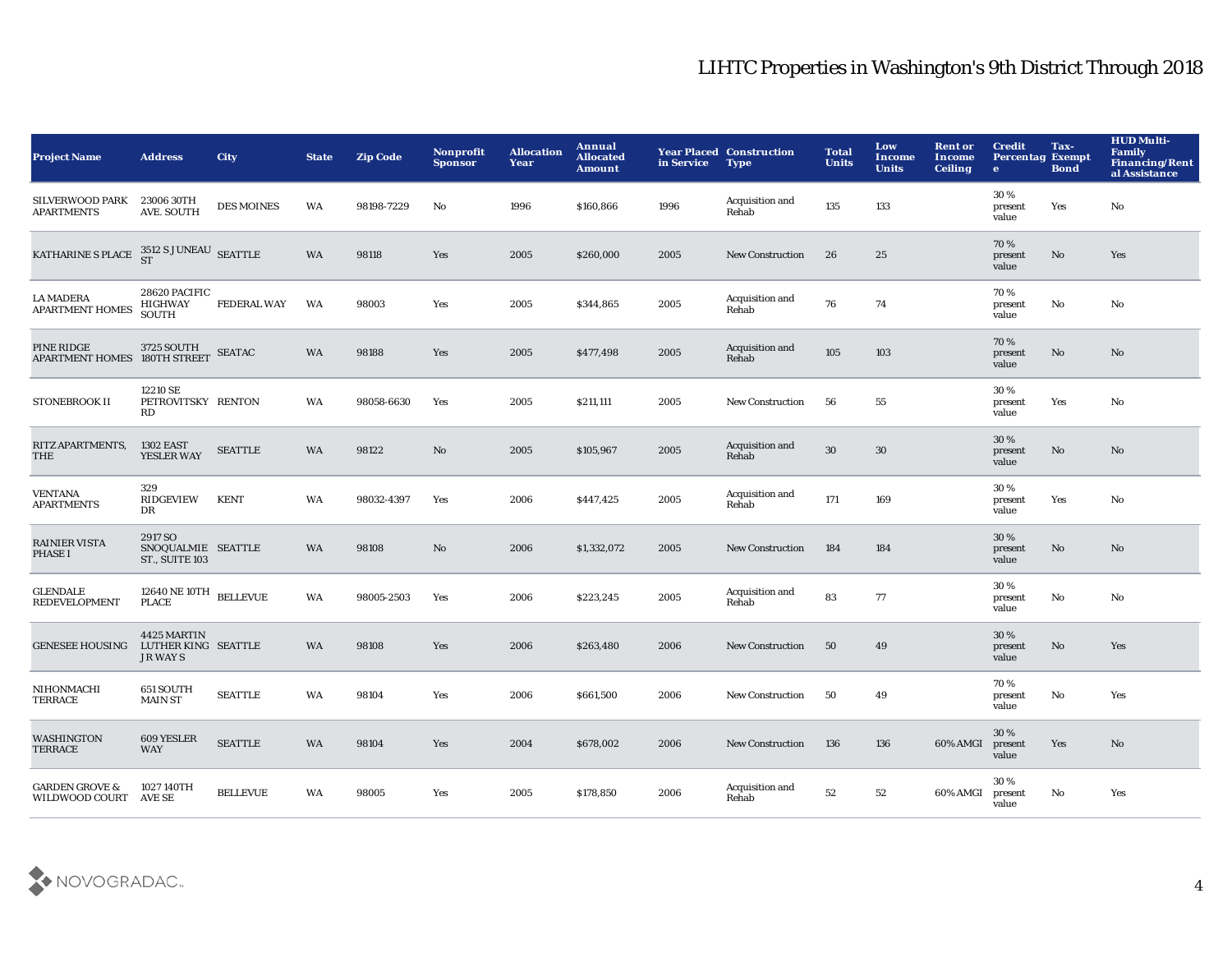| <b>Project Name</b>                                                                                 | <b>Address</b>                                         | City               | <b>State</b> | <b>Zip Code</b> | <b>Nonprofit</b><br><b>Sponsor</b> | <b>Allocation</b><br>Year | Annual<br><b>Allocated</b><br><b>Amount</b> | in Service | <b>Year Placed Construction</b><br><b>Type</b> | <b>Total</b><br><b>Units</b> | Low<br><b>Income</b><br><b>Units</b> | <b>Rent or</b><br>Income<br><b>Ceiling</b> | <b>Credit</b><br><b>Percentag Exempt</b><br>$\bullet$ | Tax-<br><b>Bond</b> | <b>HUD Multi-</b><br><b>Family</b><br><b>Financing/Rent</b><br>al Assistance |
|-----------------------------------------------------------------------------------------------------|--------------------------------------------------------|--------------------|--------------|-----------------|------------------------------------|---------------------------|---------------------------------------------|------------|------------------------------------------------|------------------------------|--------------------------------------|--------------------------------------------|-------------------------------------------------------|---------------------|------------------------------------------------------------------------------|
| SILVERWOOD PARK<br><b>APARTMENTS</b>                                                                | 23006 30TH<br>AVE. SOUTH                               | <b>DES MOINES</b>  | WA           | 98198-7229      | No                                 | 1996                      | \$160,866                                   | 1996       | Acquisition and<br>Rehab                       | 135                          | 133                                  |                                            | 30%<br>present<br>value                               | Yes                 | No                                                                           |
| KATHARINE S PLACE $\begin{array}{c} 3512 \text{ S} \text{ JUNEAU} \\ \text{ST} \end{array}$ SEATTLE |                                                        |                    | WA           | 98118           | Yes                                | 2005                      | \$260,000                                   | 2005       | <b>New Construction</b>                        | 26                           | 25                                   |                                            | 70%<br>present<br>value                               | No                  | Yes                                                                          |
| <b>LA MADERA</b><br><b>APARTMENT HOMES</b>                                                          | 28620 PACIFIC<br><b>HIGHWAY</b><br>SOUTH               | <b>FEDERAL WAY</b> | WA           | 98003           | Yes                                | 2005                      | \$344,865                                   | 2005       | Acquisition and<br>Rehab                       | 76                           | 74                                   |                                            | 70%<br>present<br>value                               | No                  | No                                                                           |
| PINE RIDGE 3725 SOUTH<br>APARTMENT HOMES 180TH STREET                                               |                                                        | <b>SEATAC</b>      | <b>WA</b>    | 98188           | Yes                                | 2005                      | \$477,498                                   | 2005       | Acquisition and<br>Rehab                       | 105                          | 103                                  |                                            | 70%<br>present<br>value                               | No                  | No                                                                           |
| STONEBROOK II                                                                                       | 12210 SE<br>PETROVITSKY RENTON<br>RD                   |                    | WA           | 98058-6630      | Yes                                | 2005                      | <b>\$211,111</b>                            | 2005       | <b>New Construction</b>                        | 56                           | 55                                   |                                            | 30%<br>present<br>value                               | Yes                 | No                                                                           |
| RITZ APARTMENTS,<br>THE                                                                             | <b>1302 EAST</b><br>YESLER WAY                         | <b>SEATTLE</b>     | WA           | 98122           | No                                 | 2005                      | \$105,967                                   | 2005       | Acquisition and<br>Rehab                       | 30                           | 30                                   |                                            | 30%<br>present<br>value                               | No                  | No                                                                           |
| <b>VENTANA</b><br><b>APARTMENTS</b>                                                                 | 329<br><b>RIDGEVIEW</b><br>DR                          | <b>KENT</b>        | WA           | 98032-4397      | Yes                                | 2006                      | \$447,425                                   | 2005       | Acquisition and<br>Rehab                       | 171                          | 169                                  |                                            | 30%<br>present<br>value                               | Yes                 | No                                                                           |
| <b>RAINIER VISTA</b><br><b>PHASE I</b>                                                              | 2917 SO<br>SNOQUALMIE SEATTLE<br><b>ST., SUITE 103</b> |                    | <b>WA</b>    | 98108           | No                                 | 2006                      | \$1,332,072                                 | 2005       | <b>New Construction</b>                        | 184                          | 184                                  |                                            | 30%<br>present<br>value                               | No                  | No                                                                           |
| <b>GLENDALE</b><br><b>REDEVELOPMENT</b>                                                             | $12640\,\mathrm{NE}\,10\mathrm{TH}$ BELLEVUE PLACE     |                    | WA           | 98005-2503      | Yes                                | 2006                      | \$223,245                                   | 2005       | Acquisition and<br>Rehab                       | 83                           | 77                                   |                                            | 30%<br>present<br>value                               | No                  | No                                                                           |
| <b>GENESEE HOUSING</b>                                                                              | 4425 MARTIN<br>LUTHER KING SEATTLE<br><b>JR WAYS</b>   |                    | <b>WA</b>    | 98108           | Yes                                | 2006                      | \$263,480                                   | 2006       | <b>New Construction</b>                        | 50                           | 49                                   |                                            | 30%<br>present<br>value                               | No                  | Yes                                                                          |
| NIHONMACHI<br><b>TERRACE</b>                                                                        | 651 SOUTH<br><b>MAIN ST</b>                            | <b>SEATTLE</b>     | WA           | 98104           | Yes                                | 2006                      | \$661,500                                   | 2006       | <b>New Construction</b>                        | 50                           | 49                                   |                                            | 70%<br>present<br>value                               | No                  | Yes                                                                          |
| WASHINGTON<br><b>TERRACE</b>                                                                        | 609 YESLER<br><b>WAY</b>                               | <b>SEATTLE</b>     | <b>WA</b>    | 98104           | Yes                                | 2004                      | \$678,002                                   | 2006       | <b>New Construction</b>                        | 136                          | 136                                  | 60% AMGI                                   | 30%<br>present<br>value                               | Yes                 | No                                                                           |
| <b>GARDEN GROVE &amp;</b><br>WILDWOOD COURT AVE SE                                                  | 1027 140TH                                             | <b>BELLEVUE</b>    | WA           | 98005           | Yes                                | 2005                      | \$178,850                                   | 2006       | Acquisition and<br>Rehab                       | 52                           | 52                                   | 60% AMGI                                   | 30%<br>present<br>value                               | No                  | Yes                                                                          |

![](_page_4_Picture_2.jpeg)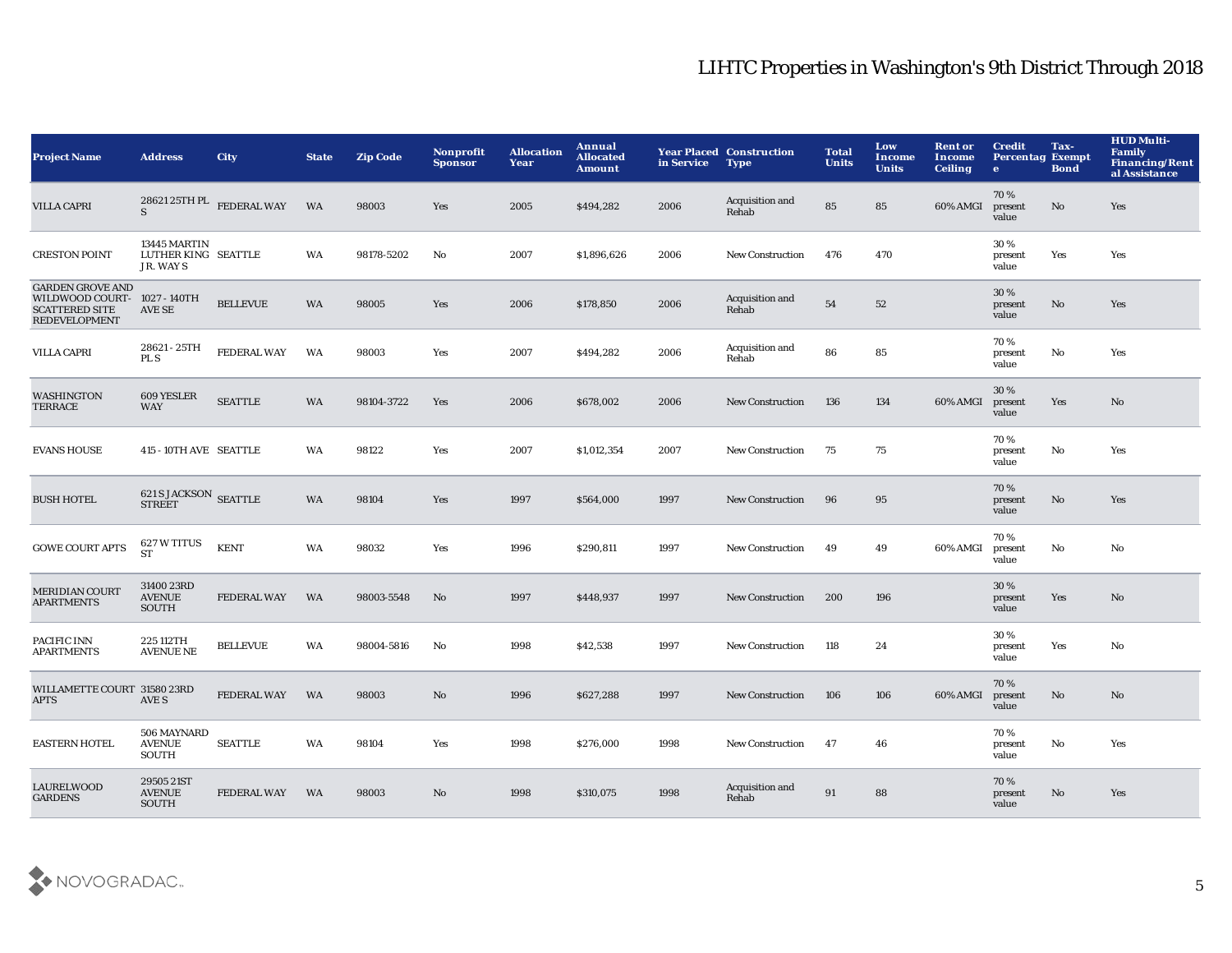| <b>Project Name</b>                                                                                      | <b>Address</b>                                  | <b>City</b>                                       | <b>State</b> | <b>Zip Code</b> | Nonprofit<br><b>Sponsor</b> | <b>Allocation</b><br>Year | Annual<br><b>Allocated</b><br><b>Amount</b> | in Service | <b>Year Placed Construction</b><br><b>Type</b> | <b>Total</b><br><b>Units</b> | Low<br>Income<br><b>Units</b> | <b>Rent or</b><br>Income<br><b>Ceiling</b> | <b>Credit</b><br><b>Percentag Exempt</b><br>e. | Tax-<br><b>Bond</b> | <b>HUD Multi-</b><br><b>Family</b><br><b>Financing/Rent</b><br>al Assistance |
|----------------------------------------------------------------------------------------------------------|-------------------------------------------------|---------------------------------------------------|--------------|-----------------|-----------------------------|---------------------------|---------------------------------------------|------------|------------------------------------------------|------------------------------|-------------------------------|--------------------------------------------|------------------------------------------------|---------------------|------------------------------------------------------------------------------|
| <b>VILLA CAPRI</b>                                                                                       | <sub>S</sub>                                    | $28621\,25 \mathrm{TH}\, \mathrm{PL}$ FEDERAL WAY | <b>WA</b>    | 98003           | Yes                         | 2005                      | \$494,282                                   | 2006       | Acquisition and<br>Rehab                       | 85                           | 85                            | 60% AMGI                                   | 70%<br>present<br>value                        | No                  | Yes                                                                          |
| <b>CRESTON POINT</b>                                                                                     | 13445 MARTIN<br>LUTHER KING SEATTLE<br>JR. WAYS |                                                   | WA           | 98178-5202      | No                          | 2007                      | \$1,896,626                                 | 2006       | <b>New Construction</b>                        | 476                          | 470                           |                                            | 30%<br>present<br>value                        | Yes                 | Yes                                                                          |
| <b>GARDEN GROVE AND</b><br>WILDWOOD COURT- 1027 - 140TH<br><b>SCATTERED SITE</b><br><b>REDEVELOPMENT</b> | <b>AVE SE</b>                                   | <b>BELLEVUE</b>                                   | WA           | 98005           | Yes                         | 2006                      | \$178,850                                   | 2006       | Acquisition and<br>Rehab                       | 54                           | 52                            |                                            | 30%<br>present<br>value                        | No                  | Yes                                                                          |
| <b>VILLA CAPRI</b>                                                                                       | 28621 - 25TH<br>PL S                            | FEDERAL WAY                                       | WA           | 98003           | Yes                         | 2007                      | \$494,282                                   | 2006       | Acquisition and<br>Rehab                       | 86                           | 85                            |                                            | 70%<br>present<br>value                        | No                  | Yes                                                                          |
| <b>WASHINGTON</b><br><b>TERRACE</b>                                                                      | 609 YESLER<br><b>WAY</b>                        | <b>SEATTLE</b>                                    | WA           | 98104-3722      | Yes                         | 2006                      | \$678,002                                   | 2006       | <b>New Construction</b>                        | 136                          | 134                           | 60% AMGI                                   | 30%<br>present<br>value                        | Yes                 | $\mathbf{N}\mathbf{o}$                                                       |
| <b>EVANS HOUSE</b>                                                                                       | 415 - 10TH AVE SEATTLE                          |                                                   | WA           | 98122           | Yes                         | 2007                      | \$1,012,354                                 | 2007       | <b>New Construction</b>                        | 75                           | 75                            |                                            | 70%<br>present<br>value                        | No                  | Yes                                                                          |
| <b>BUSH HOTEL</b>                                                                                        | <b>621 S JACKSON SEATTLE</b><br><b>STREET</b>   |                                                   | WA           | 98104           | Yes                         | 1997                      | \$564,000                                   | 1997       | <b>New Construction</b>                        | 96                           | 95                            |                                            | 70%<br>present<br>value                        | No                  | Yes                                                                          |
| <b>GOWE COURT APTS</b>                                                                                   | 627 W TITUS<br><b>ST</b>                        | <b>KENT</b>                                       | <b>WA</b>    | 98032           | Yes                         | 1996                      | \$290,811                                   | 1997       | <b>New Construction</b>                        | 49                           | 49                            | 60% AMGI                                   | 70%<br>present<br>value                        | No                  | No                                                                           |
| <b>MERIDIAN COURT</b><br><b>APARTMENTS</b>                                                               | 31400 23RD<br><b>AVENUE</b><br>SOUTH            | <b>FEDERAL WAY</b>                                | WA           | 98003-5548      | No                          | 1997                      | \$448,937                                   | 1997       | <b>New Construction</b>                        | 200                          | 196                           |                                            | 30%<br>present<br>value                        | Yes                 | No                                                                           |
| PACIFIC INN<br><b>APARTMENTS</b>                                                                         | 225 112TH<br><b>AVENUE NE</b>                   | <b>BELLEVUE</b>                                   | WA           | 98004-5816      | No                          | 1998                      | \$42,538                                    | 1997       | <b>New Construction</b>                        | 118                          | 24                            |                                            | 30%<br>present<br>value                        | Yes                 | No                                                                           |
| WILLAMETTE COURT 31580 23RD<br><b>APTS</b>                                                               | AVE S                                           | <b>FEDERAL WAY</b>                                | WA           | 98003           | No                          | 1996                      | \$627,288                                   | 1997       | <b>New Construction</b>                        | 106                          | 106                           | 60% AMGI                                   | 70%<br>present<br>value                        | No                  | No                                                                           |
| <b>EASTERN HOTEL</b>                                                                                     | 506 MAYNARD<br><b>AVENUE</b><br>SOUTH           | <b>SEATTLE</b>                                    | WA           | 98104           | Yes                         | 1998                      | \$276,000                                   | 1998       | <b>New Construction</b>                        | 47                           | 46                            |                                            | 70%<br>present<br>value                        | No                  | Yes                                                                          |
| <b>LAURELWOOD</b><br><b>GARDENS</b>                                                                      | 29505 21ST<br><b>AVENUE</b><br>SOUTH            | <b>FEDERAL WAY</b>                                | <b>WA</b>    | 98003           | No                          | 1998                      | \$310,075                                   | 1998       | Acquisition and<br>Rehab                       | 91                           | 88                            |                                            | 70%<br>present<br>value                        | No                  | Yes                                                                          |

![](_page_5_Picture_2.jpeg)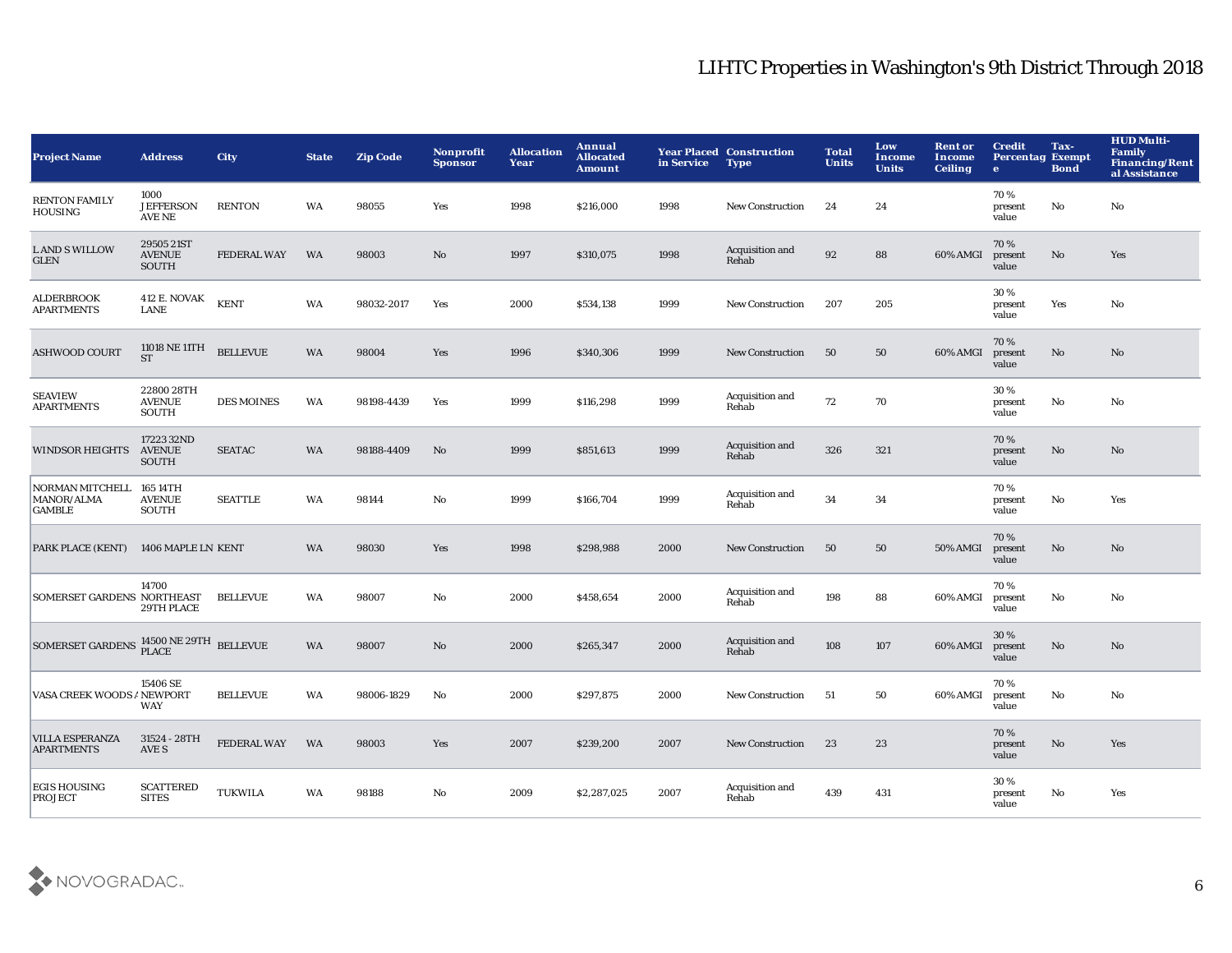| <b>Project Name</b>                                                                                                            | <b>Address</b>                              | City               | <b>State</b> | <b>Zip Code</b> | Nonprofit<br><b>Sponsor</b> | <b>Allocation</b><br>Year | Annual<br><b>Allocated</b><br><b>Amount</b> | in Service | <b>Year Placed Construction</b><br><b>Type</b> | <b>Total</b><br><b>Units</b> | Low<br>Income<br><b>Units</b> | <b>Rent or</b><br><b>Income</b><br><b>Ceiling</b> | <b>Credit</b><br><b>Percentag Exempt</b><br>$\bullet$ | Tax-<br><b>Bond</b>    | <b>HUD Multi-</b><br><b>Family</b><br><b>Financing/Rent</b><br>al Assistance |
|--------------------------------------------------------------------------------------------------------------------------------|---------------------------------------------|--------------------|--------------|-----------------|-----------------------------|---------------------------|---------------------------------------------|------------|------------------------------------------------|------------------------------|-------------------------------|---------------------------------------------------|-------------------------------------------------------|------------------------|------------------------------------------------------------------------------|
| <b>RENTON FAMILY</b><br><b>HOUSING</b>                                                                                         | 1000<br><b>JEFFERSON</b><br>AVE NE          | <b>RENTON</b>      | WA           | 98055           | Yes                         | 1998                      | \$216,000                                   | 1998       | <b>New Construction</b>                        | 24                           | 24                            |                                                   | 70%<br>present<br>value                               | No                     | No                                                                           |
| <b>LAND S WILLOW</b><br>${\tt GLEN}$                                                                                           | 29505 21ST<br><b>AVENUE</b><br><b>SOUTH</b> | <b>FEDERAL WAY</b> | <b>WA</b>    | 98003           | $\mathbf{N}\mathbf{o}$      | 1997                      | \$310,075                                   | 1998       | Acquisition and<br>Rehab                       | 92                           | 88                            | 60% AMGI                                          | 70%<br>present<br>value                               | No                     | Yes                                                                          |
| <b>ALDERBROOK</b><br><b>APARTMENTS</b>                                                                                         | <b>412 E. NOVAK</b><br><b>LANE</b>          | <b>KENT</b>        | WA           | 98032-2017      | Yes                         | 2000                      | \$534,138                                   | 1999       | <b>New Construction</b>                        | 207                          | 205                           |                                                   | 30%<br>present<br>value                               | Yes                    | No                                                                           |
| <b>ASHWOOD COURT</b>                                                                                                           | 11018 NE 11TH<br><b>ST</b>                  | <b>BELLEVUE</b>    | <b>WA</b>    | 98004           | Yes                         | 1996                      | \$340,306                                   | 1999       | <b>New Construction</b>                        | 50                           | 50                            | 60% AMGI                                          | 70%<br>present<br>value                               | $\mathbf{N}\mathbf{o}$ | No                                                                           |
| <b>SEAVIEW</b><br><b>APARTMENTS</b>                                                                                            | 22800 28TH<br><b>AVENUE</b><br>SOUTH        | <b>DES MOINES</b>  | WA           | 98198-4439      | Yes                         | 1999                      | \$116,298                                   | 1999       | Acquisition and<br>Rehab                       | 72                           | 70                            |                                                   | 30%<br>present<br>value                               | No                     | No                                                                           |
| <b>WINDSOR HEIGHTS</b>                                                                                                         | 17223 32ND<br><b>AVENUE</b><br>SOUTH        | <b>SEATAC</b>      | <b>WA</b>    | 98188-4409      | No                          | 1999                      | \$851,613                                   | 1999       | Acquisition and<br>Rehab                       | 326                          | 321                           |                                                   | 70%<br>present<br>value                               | No                     | No                                                                           |
| <b>NORMAN MITCHELL</b><br>MANOR/ALMA<br><b>GAMBLE</b>                                                                          | 165 14TH<br><b>AVENUE</b><br>SOUTH          | <b>SEATTLE</b>     | WA           | 98144           | No                          | 1999                      | \$166,704                                   | 1999       | Acquisition and<br>Rehab                       | 34                           | 34                            |                                                   | 70%<br>present<br>value                               | No                     | Yes                                                                          |
| PARK PLACE (KENT)                                                                                                              | 1406 MAPLE LN KENT                          |                    | <b>WA</b>    | 98030           | Yes                         | 1998                      | \$298,988                                   | 2000       | <b>New Construction</b>                        | 50                           | 50                            | 50% AMGI                                          | 70%<br>present<br>value                               | No                     | No                                                                           |
| SOMERSET GARDENS NORTHEAST                                                                                                     | 14700<br>29TH PLACE                         | <b>BELLEVUE</b>    | WA           | 98007           | No                          | 2000                      | \$458,654                                   | 2000       | Acquisition and<br>Rehab                       | 198                          | 88                            | 60% AMGI                                          | 70%<br>present<br>value                               | No                     | No                                                                           |
| $\begin{array}{llll} \textbf{SOMERSET GARDENS}\textcolor{red}{\bullet} \textbf{14500 NE 29TH} & \textbf{BELLEVUE} \end{array}$ |                                             |                    | <b>WA</b>    | 98007           | No                          | 2000                      | \$265,347                                   | 2000       | Acquisition and<br>Rehab                       | 108                          | 107                           | 60% AMGI                                          | 30%<br>present<br>value                               | No                     | No                                                                           |
| VASA CREEK WOODS ANEWPORT                                                                                                      | 15406 SE<br>WAY                             | <b>BELLEVUE</b>    | WA           | 98006-1829      | No                          | 2000                      | \$297,875                                   | 2000       | <b>New Construction</b>                        | 51                           | 50                            | 60% AMGI                                          | 70%<br>present<br>value                               | No                     | No                                                                           |
| <b>VILLA ESPERANZA</b><br><b>APARTMENTS</b>                                                                                    | 31524 - 28TH<br>AVE S                       | <b>FEDERAL WAY</b> | <b>WA</b>    | 98003           | <b>Yes</b>                  | 2007                      | \$239,200                                   | 2007       | <b>New Construction</b>                        | 23                           | 23                            |                                                   | 70%<br>present<br>value                               | No                     | Yes                                                                          |
| <b>EGIS HOUSING</b><br><b>PROJECT</b>                                                                                          | <b>SCATTERED</b><br><b>SITES</b>            | <b>TUKWILA</b>     | WA           | 98188           | No                          | 2009                      | \$2,287,025                                 | 2007       | Acquisition and<br>Rehab                       | 439                          | 431                           |                                                   | 30 %<br>present<br>value                              | No                     | Yes                                                                          |

![](_page_6_Picture_2.jpeg)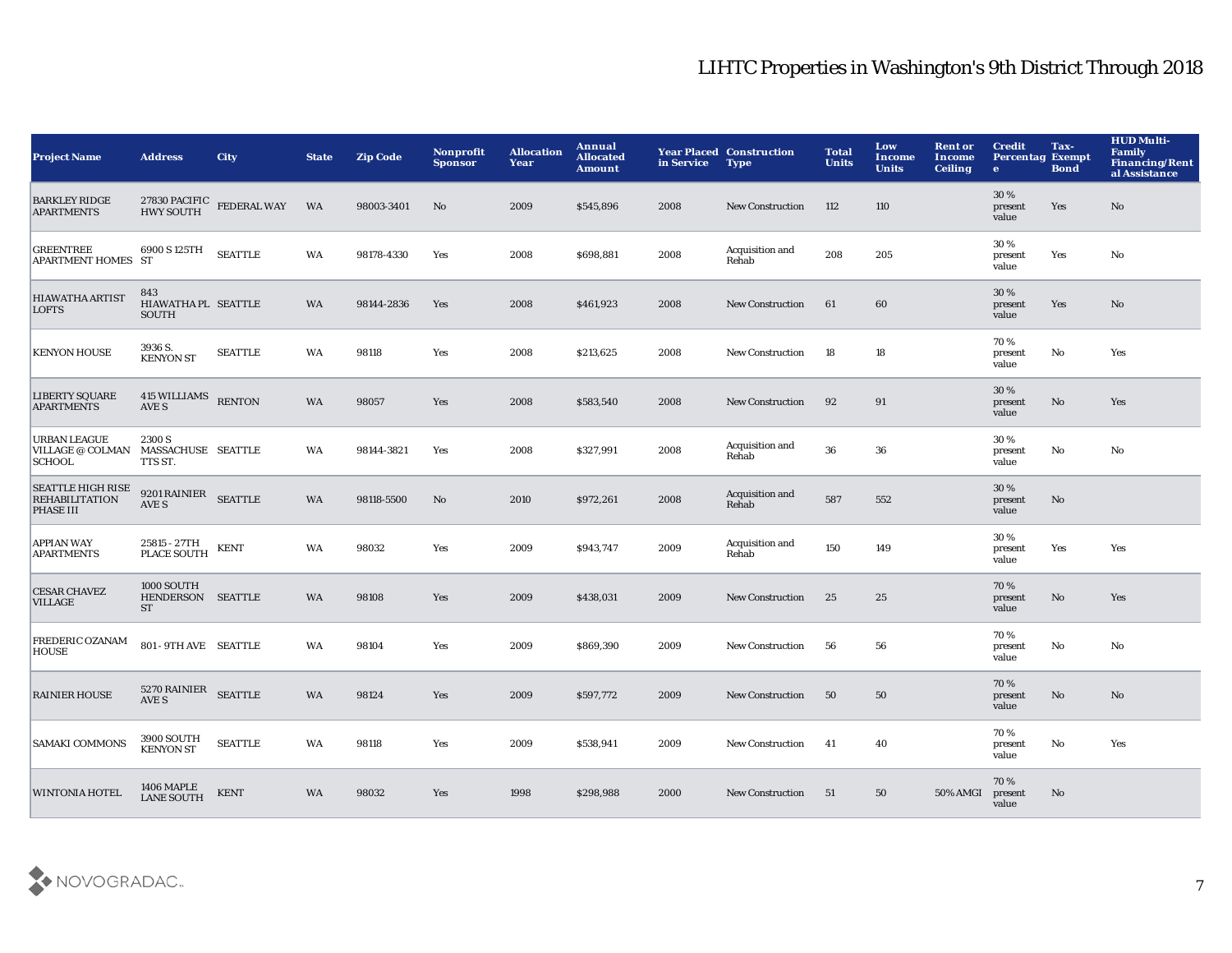| <b>Project Name</b>                                             | <b>Address</b>                                      | <b>City</b>                           | <b>State</b> | <b>Zip Code</b> | Nonprofit<br><b>Sponsor</b> | <b>Allocation</b><br>Year | Annual<br><b>Allocated</b><br><b>Amount</b> | in Service | <b>Year Placed Construction</b><br><b>Type</b> | <b>Total</b><br><b>Units</b> | Low<br>Income<br><b>Units</b> | <b>Rent or</b><br>Income<br><b>Ceiling</b> | <b>Credit</b><br><b>Percentag Exempt</b><br>$\mathbf{e}$ | Tax-<br><b>Bond</b> | <b>HUD Multi-</b><br><b>Family</b><br><b>Financing/Rent</b><br>al Assistance |
|-----------------------------------------------------------------|-----------------------------------------------------|---------------------------------------|--------------|-----------------|-----------------------------|---------------------------|---------------------------------------------|------------|------------------------------------------------|------------------------------|-------------------------------|--------------------------------------------|----------------------------------------------------------|---------------------|------------------------------------------------------------------------------|
| <b>BARKLEY RIDGE</b><br><b>APARTMENTS</b>                       |                                                     | $27830$ PACIFIC FEDERAL WAY HWY SOUTH | <b>WA</b>    | 98003-3401      | No                          | 2009                      | \$545,896                                   | 2008       | <b>New Construction</b>                        | 112                          | 110                           |                                            | 30 %<br>present<br>value                                 | Yes                 | No                                                                           |
| <b>GREENTREE</b><br>APARTMENT HOMES ST                          | 6900 S 125TH                                        | <b>SEATTLE</b>                        | WA           | 98178-4330      | Yes                         | 2008                      | \$698,881                                   | 2008       | Acquisition and<br>Rehab                       | 208                          | 205                           |                                            | 30%<br>present<br>value                                  | Yes                 | No                                                                           |
| <b>HIAWATHA ARTIST</b><br><b>LOFTS</b>                          | 843<br>HIAWATHA PL SEATTLE<br><b>SOUTH</b>          |                                       | WA           | 98144-2836      | Yes                         | 2008                      | \$461,923                                   | 2008       | <b>New Construction</b>                        | 61                           | 60                            |                                            | 30 %<br>present<br>value                                 | Yes                 | No                                                                           |
| <b>KENYON HOUSE</b>                                             | 3936 S.<br><b>KENYON ST</b>                         | <b>SEATTLE</b>                        | WA           | 98118           | Yes                         | 2008                      | \$213,625                                   | 2008       | <b>New Construction</b>                        | 18                           | 18                            |                                            | 70%<br>present<br>value                                  | No                  | Yes                                                                          |
| <b>LIBERTY SQUARE</b><br><b>APARTMENTS</b>                      | <b>415 WILLIAMS</b><br>AVE S                        | <b>RENTON</b>                         | WA           | 98057           | Yes                         | 2008                      | \$583,540                                   | 2008       | <b>New Construction</b>                        | 92                           | 91                            |                                            | 30%<br>present<br>value                                  | No                  | Yes                                                                          |
| <b>URBAN LEAGUE</b><br><b>VILLAGE @ COLMAN</b><br><b>SCHOOL</b> | 2300 S<br>MASSACHUSE SEATTLE<br>TTS ST.             |                                       | WA           | 98144-3821      | Yes                         | 2008                      | \$327,991                                   | 2008       | Acquisition and<br>Rehab                       | 36                           | 36                            |                                            | 30 %<br>present<br>value                                 | No                  | No                                                                           |
| <b>SEATTLE HIGH RISE</b><br><b>REHABILITATION</b><br>PHASE III  | 9201 RAINIER SEATTLE<br>AVE S                       |                                       | <b>WA</b>    | 98118-5500      | No                          | 2010                      | \$972,261                                   | 2008       | Acquisition and<br>Rehab                       | 587                          | 552                           |                                            | 30 %<br>present<br>value                                 | No                  |                                                                              |
| APPIAN WAY<br><b>APARTMENTS</b>                                 | 25815 - 27TH<br><b>PLACE SOUTH</b>                  | <b>KENT</b>                           | WA           | 98032           | Yes                         | 2009                      | \$943,747                                   | 2009       | Acquisition and<br>Rehab                       | 150                          | 149                           |                                            | 30%<br>present<br>value                                  | Yes                 | Yes                                                                          |
| <b>CESAR CHAVEZ</b><br><b>VILLAGE</b>                           | <b>1000 SOUTH</b><br>HENDERSON SEATTLE<br><b>ST</b> |                                       | WA           | 98108           | Yes                         | 2009                      | \$438,031                                   | 2009       | <b>New Construction</b>                        | 25                           | 25                            |                                            | 70 %<br>present<br>value                                 | No                  | Yes                                                                          |
| FREDERIC OZANAM<br><b>HOUSE</b>                                 | 801 - 9TH AVE SEATTLE                               |                                       | WA           | 98104           | Yes                         | 2009                      | \$869,390                                   | 2009       | <b>New Construction</b>                        | 56                           | 56                            |                                            | 70 %<br>present<br>value                                 | No                  | No                                                                           |
| <b>RAINIER HOUSE</b>                                            | 5270 RAINIER SEATTLE<br>AVE S                       |                                       | WA           | 98124           | Yes                         | 2009                      | \$597,772                                   | 2009       | <b>New Construction</b>                        | 50                           | 50                            |                                            | 70 %<br>present<br>value                                 | No                  | $\mathbf{N}\mathbf{o}$                                                       |
| <b>SAMAKI COMMONS</b>                                           | <b>3900 SOUTH</b><br><b>KENYON ST</b>               | <b>SEATTLE</b>                        | WA           | 98118           | Yes                         | 2009                      | \$538,941                                   | 2009       | <b>New Construction</b>                        | -41                          | 40                            |                                            | 70%<br>present<br>value                                  | No                  | Yes                                                                          |
| <b>WINTONIA HOTEL</b>                                           | <b>1406 MAPLE</b><br><b>LANE SOUTH</b>              | <b>KENT</b>                           | <b>WA</b>    | 98032           | Yes                         | 1998                      | \$298,988                                   | 2000       | <b>New Construction</b>                        | 51                           | 50                            | 50% AMGI                                   | 70%<br>present<br>value                                  | No                  |                                                                              |

![](_page_7_Picture_2.jpeg)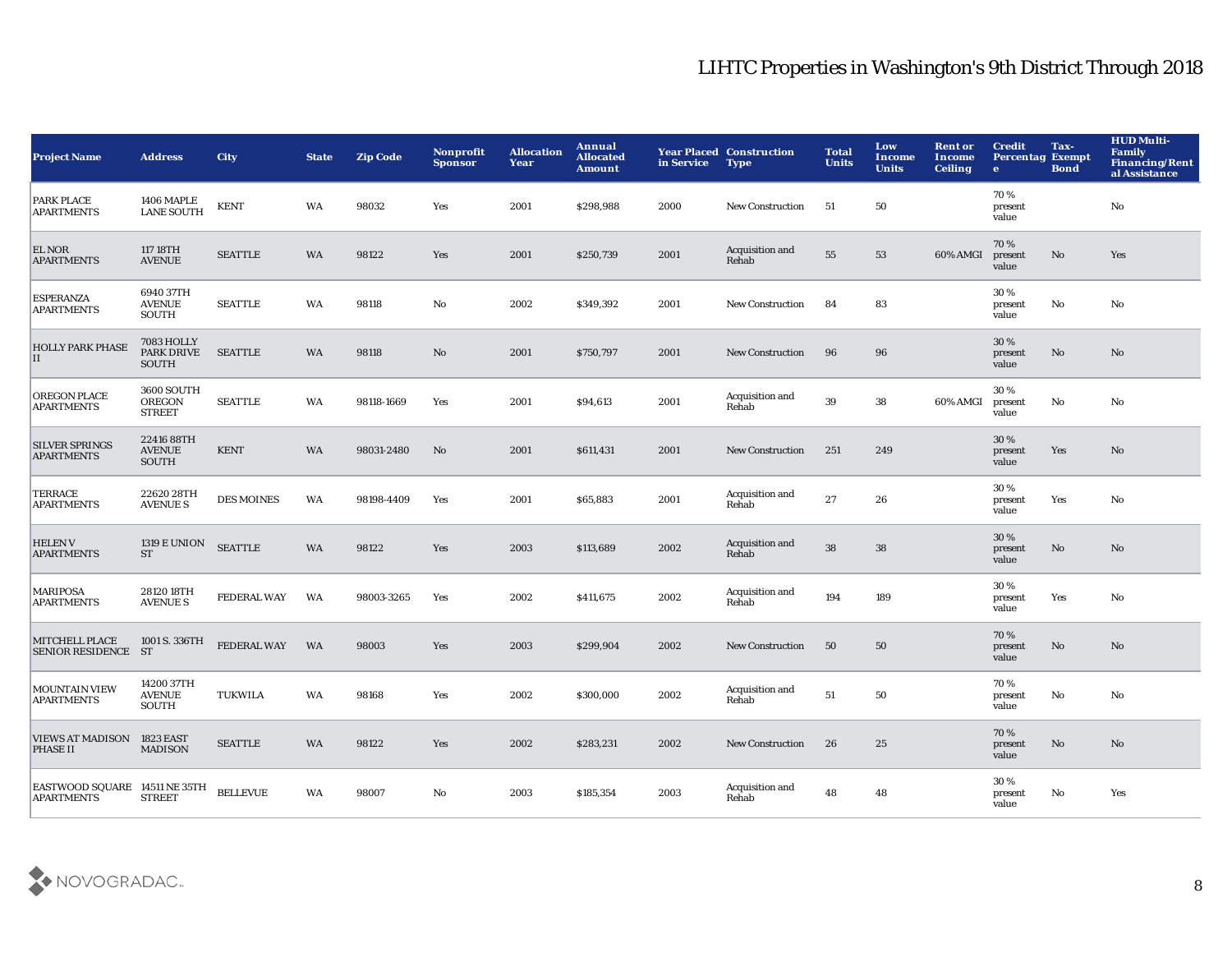| <b>Project Name</b>                                | <b>Address</b>                                  | <b>City</b>        | <b>State</b> | <b>Zip Code</b> | Nonprofit<br><b>Sponsor</b> | <b>Allocation</b><br>Year | Annual<br><b>Allocated</b><br><b>Amount</b> | in Service | <b>Year Placed Construction</b><br><b>Type</b> | <b>Total</b><br><b>Units</b> | Low<br><b>Income</b><br><b>Units</b> | <b>Rent or</b><br>Income<br><b>Ceiling</b> | <b>Credit</b><br><b>Percentag Exempt</b><br>$\bullet$ | Tax-<br><b>Bond</b> | <b>HUD Multi-</b><br><b>Family</b><br><b>Financing/Rent</b><br>al Assistance |
|----------------------------------------------------|-------------------------------------------------|--------------------|--------------|-----------------|-----------------------------|---------------------------|---------------------------------------------|------------|------------------------------------------------|------------------------------|--------------------------------------|--------------------------------------------|-------------------------------------------------------|---------------------|------------------------------------------------------------------------------|
| <b>PARK PLACE</b><br><b>APARTMENTS</b>             | <b>1406 MAPLE</b><br><b>LANE SOUTH</b>          | <b>KENT</b>        | WA           | 98032           | Yes                         | 2001                      | \$298,988                                   | 2000       | <b>New Construction</b>                        | 51                           | 50                                   |                                            | 70%<br>present<br>value                               |                     | No                                                                           |
| <b>EL NOR</b><br><b>APARTMENTS</b>                 | 117 18TH<br><b>AVENUE</b>                       | <b>SEATTLE</b>     | WA           | 98122           | Yes                         | 2001                      | \$250,739                                   | 2001       | Acquisition and<br>Rehab                       | 55                           | 53                                   | 60% AMGI                                   | 70%<br>present<br>value                               | No                  | Yes                                                                          |
| <b>ESPERANZA</b><br><b>APARTMENTS</b>              | 6940 37TH<br><b>AVENUE</b><br><b>SOUTH</b>      | <b>SEATTLE</b>     | WA           | 98118           | $\rm No$                    | 2002                      | \$349,392                                   | 2001       | <b>New Construction</b>                        | 84                           | 83                                   |                                            | 30%<br>present<br>value                               | $\mathbf{No}$       | No                                                                           |
| <b>HOLLY PARK PHASE</b><br>II                      | <b>7083 HOLLY</b><br><b>PARK DRIVE</b><br>SOUTH | <b>SEATTLE</b>     | <b>WA</b>    | 98118           | No                          | 2001                      | \$750,797                                   | 2001       | <b>New Construction</b>                        | 96                           | 96                                   |                                            | 30 %<br>present<br>value                              | No                  | No                                                                           |
| <b>OREGON PLACE</b><br><b>APARTMENTS</b>           | 3600 SOUTH<br><b>OREGON</b><br><b>STREET</b>    | <b>SEATTLE</b>     | WA           | 98118-1669      | Yes                         | 2001                      | \$94,613                                    | 2001       | Acquisition and<br>Rehab                       | 39                           | 38                                   | 60% AMGI                                   | 30%<br>present<br>value                               | $\mathbf{No}$       | No                                                                           |
| <b>SILVER SPRINGS</b><br><b>APARTMENTS</b>         | 22416 88TH<br><b>AVENUE</b><br><b>SOUTH</b>     | <b>KENT</b>        | WA           | 98031-2480      | No                          | 2001                      | \$611,431                                   | 2001       | <b>New Construction</b>                        | 251                          | 249                                  |                                            | 30%<br>present<br>value                               | Yes                 | $\mathbf{N}\mathbf{o}$                                                       |
| <b>TERRACE</b><br><b>APARTMENTS</b>                | 2262028TH<br><b>AVENUE S</b>                    | <b>DES MOINES</b>  | WA           | 98198-4409      | Yes                         | 2001                      | \$65,883                                    | 2001       | Acquisition and<br>Rehab                       | 27                           | 26                                   |                                            | 30%<br>present<br>value                               | Yes                 | No                                                                           |
| <b>HELENV</b><br><b>APARTMENTS</b>                 | <b>1319 E UNION</b><br><b>ST</b>                | <b>SEATTLE</b>     | WA           | 98122           | Yes                         | 2003                      | \$113,689                                   | 2002       | Acquisition and<br>Rehab                       | 38                           | ${\bf 38}$                           |                                            | 30%<br>present<br>value                               | No                  | No                                                                           |
| <b>MARIPOSA</b><br><b>APARTMENTS</b>               | 2812018TH<br><b>AVENUE S</b>                    | <b>FEDERAL WAY</b> | WA           | 98003-3265      | Yes                         | 2002                      | \$411,675                                   | 2002       | Acquisition and<br>Rehab                       | 194                          | 189                                  |                                            | 30%<br>present<br>value                               | Yes                 | No                                                                           |
| MITCHELL PLACE<br>SENIOR RESIDENCE ST              | 1001 S. 336TH                                   | FEDERAL WAY        | WA           | 98003           | Yes                         | 2003                      | \$299,904                                   | 2002       | New Construction                               | 50                           | 50                                   |                                            | 70%<br>present<br>value                               | $\mathbf{No}$       | No                                                                           |
| <b>MOUNTAIN VIEW</b><br><b>APARTMENTS</b>          | 14200 37TH<br><b>AVENUE</b><br><b>SOUTH</b>     | <b>TUKWILA</b>     | WA           | 98168           | Yes                         | 2002                      | \$300,000                                   | 2002       | Acquisition and<br>Rehab                       | 51                           | 50                                   |                                            | 70%<br>present<br>value                               | No                  | No                                                                           |
| <b>VIEWS AT MADISON</b><br><b>PHASE II</b>         | <b>1823 EAST</b><br><b>MADISON</b>              | <b>SEATTLE</b>     | <b>WA</b>    | 98122           | Yes                         | 2002                      | \$283,231                                   | 2002       | <b>New Construction</b>                        | 26                           | 25                                   |                                            | 70%<br>present<br>value                               | No                  | No                                                                           |
| EASTWOOD SQUARE 14511 NE 35TH<br><b>APARTMENTS</b> | <b>STREET</b>                                   | <b>BELLEVUE</b>    | WA           | 98007           | No                          | 2003                      | \$185,354                                   | 2003       | Acquisition and<br>Rehab                       | 48                           | 48                                   |                                            | 30%<br>present<br>value                               | No                  | Yes                                                                          |

![](_page_8_Picture_2.jpeg)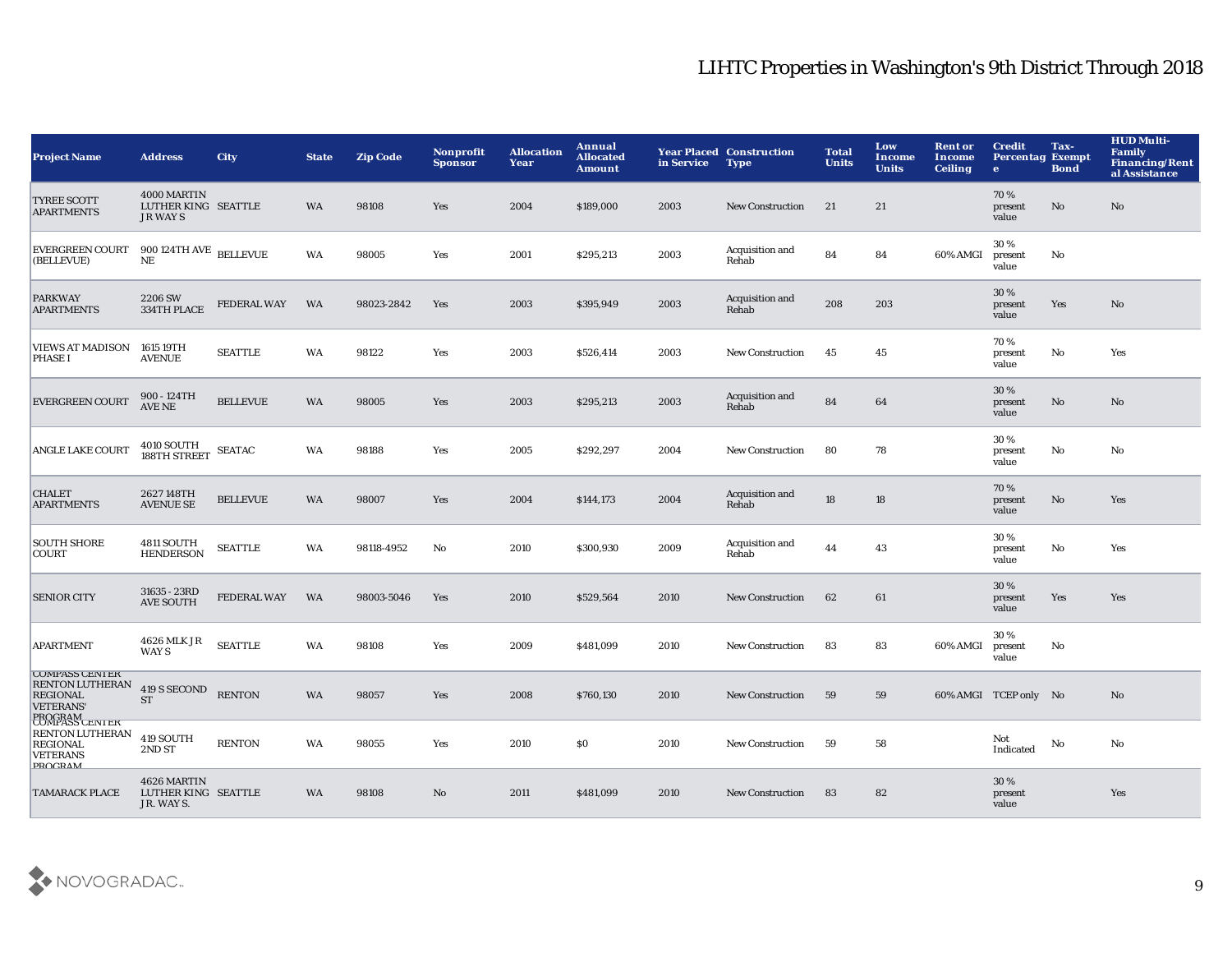| <b>Project Name</b>                                                                                                       | <b>Address</b>                                       | <b>City</b>        | <b>State</b> | <b>Zip Code</b> | <b>Nonprofit</b><br><b>Sponsor</b> | <b>Allocation</b><br>Year | Annual<br><b>Allocated</b><br><b>Amount</b> | in Service | <b>Year Placed Construction</b><br><b>Type</b> | <b>Total</b><br><b>Units</b> | Low<br>Income<br><b>Units</b> | <b>Rent or</b><br><b>Income</b><br><b>Ceiling</b> | <b>Credit</b><br><b>Percentag Exempt</b><br>$\bullet$ | Tax-<br><b>Bond</b> | <b>HUD Multi-</b><br><b>Family</b><br><b>Financing/Rent</b><br>al Assistance |
|---------------------------------------------------------------------------------------------------------------------------|------------------------------------------------------|--------------------|--------------|-----------------|------------------------------------|---------------------------|---------------------------------------------|------------|------------------------------------------------|------------------------------|-------------------------------|---------------------------------------------------|-------------------------------------------------------|---------------------|------------------------------------------------------------------------------|
| <b>TYREE SCOTT</b><br><b>APARTMENTS</b>                                                                                   | 4000 MARTIN<br>LUTHER KING SEATTLE<br><b>JR WAYS</b> |                    | <b>WA</b>    | 98108           | Yes                                | 2004                      | \$189,000                                   | 2003       | <b>New Construction</b>                        | 21                           | 21                            |                                                   | 70%<br>present<br>value                               | No                  | No                                                                           |
| <b>EVERGREEN COURT</b><br>(BELLEVUE)                                                                                      | $900$ 124TH AVE $\,$ BELLEVUE<br>$\rm NE$            |                    | WA           | 98005           | Yes                                | 2001                      | \$295,213                                   | 2003       | Acquisition and<br>Rehab                       | 84                           | 84                            | 60% AMGI                                          | 30 %<br>present<br>value                              | No                  |                                                                              |
| <b>PARKWAY</b><br><b>APARTMENTS</b>                                                                                       | 2206 SW<br>334TH PLACE                               | <b>FEDERAL WAY</b> | WA           | 98023-2842      | Yes                                | 2003                      | \$395,949                                   | 2003       | Acquisition and<br>Rehab                       | 208                          | 203                           |                                                   | 30%<br>present<br>value                               | Yes                 | No                                                                           |
| VIEWS AT MADISON 1615 19TH<br><b>PHASE I</b>                                                                              | <b>AVENUE</b>                                        | <b>SEATTLE</b>     | WA           | 98122           | Yes                                | 2003                      | \$526,414                                   | 2003       | <b>New Construction</b>                        | 45                           | 45                            |                                                   | 70%<br>present<br>value                               | No                  | Yes                                                                          |
| <b>EVERGREEN COURT</b>                                                                                                    | 900 - 124TH<br><b>AVE NE</b>                         | <b>BELLEVUE</b>    | <b>WA</b>    | 98005           | Yes                                | 2003                      | \$295,213                                   | 2003       | Acquisition and<br>Rehab                       | 84                           | 64                            |                                                   | 30 %<br>present<br>value                              | No                  | No                                                                           |
| <b>ANGLE LAKE COURT</b>                                                                                                   | 4010 SOUTH<br>188TH STREET                           | <b>SEATAC</b>      | WA           | 98188           | Yes                                | 2005                      | \$292,297                                   | 2004       | <b>New Construction</b>                        | 80                           | 78                            |                                                   | 30 %<br>present<br>value                              | No                  | No                                                                           |
| <b>CHALET</b><br><b>APARTMENTS</b>                                                                                        | 2627148TH<br><b>AVENUE SE</b>                        | <b>BELLEVUE</b>    | <b>WA</b>    | 98007           | Yes                                | 2004                      | \$144,173                                   | 2004       | Acquisition and<br>Rehab                       | 18                           | 18                            |                                                   | 70%<br>present<br>value                               | No                  | Yes                                                                          |
| <b>SOUTH SHORE</b><br><b>COURT</b>                                                                                        | 4811 SOUTH<br><b>HENDERSON</b>                       | <b>SEATTLE</b>     | WA           | 98118-4952      | No                                 | 2010                      | \$300,930                                   | 2009       | Acquisition and<br>Rehab                       | 44                           | 43                            |                                                   | 30%<br>present<br>value                               | No                  | Yes                                                                          |
| <b>SENIOR CITY</b>                                                                                                        | 31635 - 23RD<br><b>AVE SOUTH</b>                     | <b>FEDERAL WAY</b> | WA           | 98003-5046      | Yes                                | 2010                      | \$529,564                                   | 2010       | New Construction                               | 62                           | 61                            |                                                   | 30%<br>present<br>value                               | Yes                 | Yes                                                                          |
| <b>APARTMENT</b>                                                                                                          | 4626 MLK JR<br>WAY S                                 | <b>SEATTLE</b>     | WA           | 98108           | Yes                                | 2009                      | \$481,099                                   | 2010       | <b>New Construction</b>                        | 83                           | 83                            | 60% AMGI                                          | 30%<br>present<br>value                               | No                  |                                                                              |
| <b>COMPASS CENTER</b><br><b>RENTON LUTHERAN</b><br><b>REGIONAL</b><br><b>VETERANS</b><br><b>PROGRAM</b><br>COMPASS CENTER | 419 S SECOND<br><b>ST</b>                            | <b>RENTON</b>      | WA           | 98057           | Yes                                | 2008                      | \$760,130                                   | 2010       | New Construction                               | 59                           | 59                            |                                                   | 60% AMGI TCEP only No                                 |                     | No                                                                           |
| <b>RENTON LUTHERAN</b><br><b>REGIONAL</b><br><b>VETERANS</b><br><b>PROCRAM</b>                                            | 419 SOUTH<br>2ND ST                                  | <b>RENTON</b>      | WA           | 98055           | Yes                                | 2010                      | \$0                                         | 2010       | New Construction                               | 59                           | 58                            |                                                   | Not<br>Indicated                                      | No                  | No                                                                           |
| <b>TAMARACK PLACE</b>                                                                                                     | 4626 MARTIN<br>LUTHER KING SEATTLE<br>JR. WAYS.      |                    | <b>WA</b>    | 98108           | No                                 | 2011                      | \$481,099                                   | 2010       | <b>New Construction</b>                        | 83                           | 82                            |                                                   | 30 %<br>present<br>value                              |                     | Yes                                                                          |

![](_page_9_Picture_2.jpeg)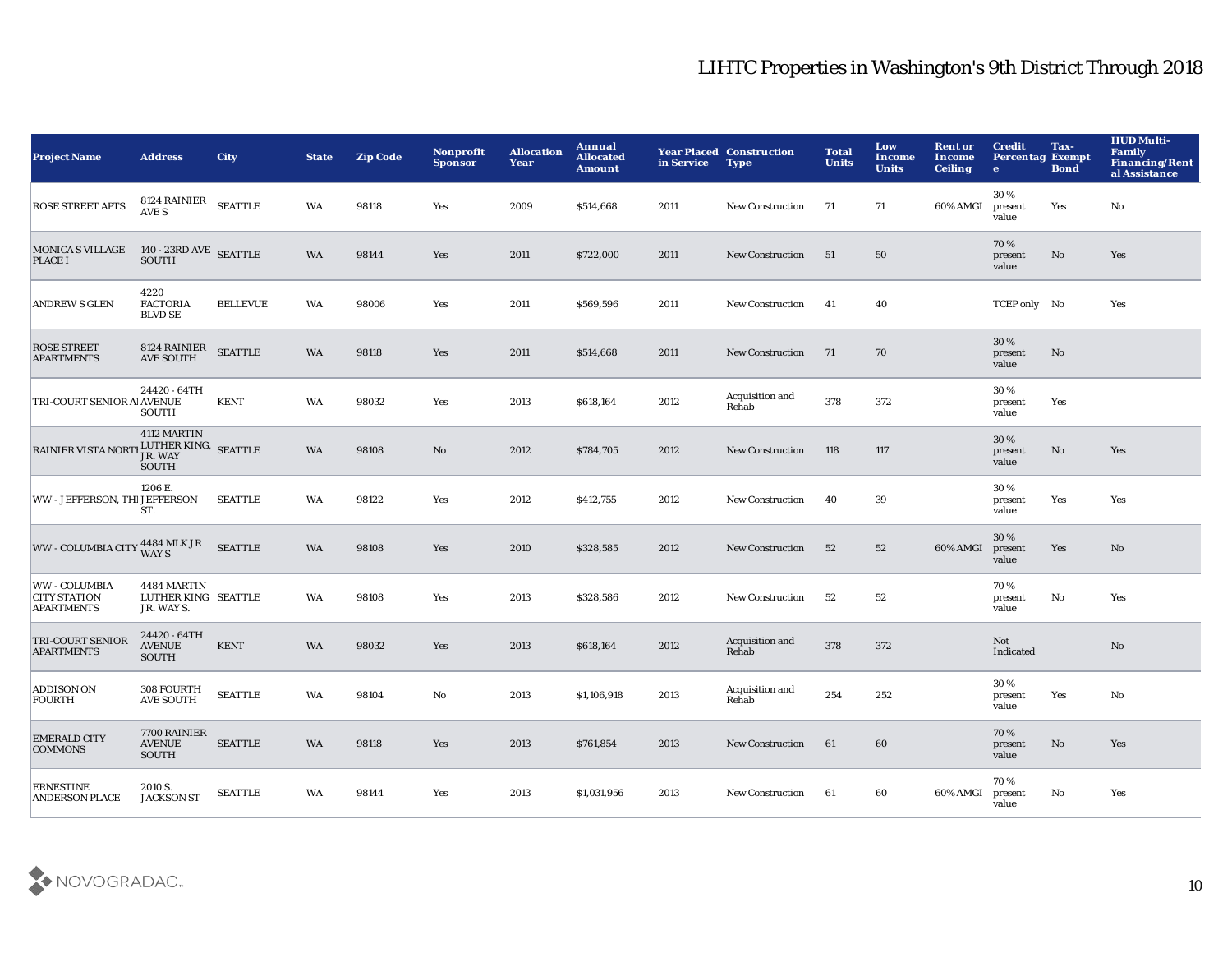| <b>Project Name</b>                                       | <b>Address</b>                                                                                                      | <b>City</b>     | <b>State</b> | <b>Zip Code</b> | Nonprofit<br><b>Sponsor</b> | <b>Allocation</b><br>Year | Annual<br><b>Allocated</b><br><b>Amount</b> | in Service | <b>Year Placed Construction</b><br><b>Type</b> | <b>Total</b><br><b>Units</b> | Low<br>Income<br><b>Units</b> | <b>Rent or</b><br>Income<br><b>Ceiling</b> | <b>Credit</b><br><b>Percentag Exempt</b><br>$\bullet$ | Tax-<br><b>Bond</b>    | <b>HUD Multi-</b><br><b>Family</b><br><b>Financing/Rent</b><br>al Assistance |
|-----------------------------------------------------------|---------------------------------------------------------------------------------------------------------------------|-----------------|--------------|-----------------|-----------------------------|---------------------------|---------------------------------------------|------------|------------------------------------------------|------------------------------|-------------------------------|--------------------------------------------|-------------------------------------------------------|------------------------|------------------------------------------------------------------------------|
| <b>ROSE STREET APTS</b>                                   | ${\small \begin{array}{ll} 8124 \text{ RAINIER} \end{array}} {\small \begin{array}{ll} \text{SEATILE} \end{array}}$ |                 | WA           | 98118           | Yes                         | 2009                      | \$514,668                                   | 2011       | <b>New Construction</b>                        | 71                           | 71                            | 60% AMGI                                   | 30%<br>present<br>value                               | Yes                    | No                                                                           |
| <b>MONICA S VILLAGE</b><br><b>PLACE I</b>                 | $140$ - $23{\rm RD}$ AVE $\,$ SEATTLE SOUTH                                                                         |                 | WA           | 98144           | Yes                         | 2011                      | \$722,000                                   | 2011       | <b>New Construction</b>                        | 51                           | ${\bf 50}$                    |                                            | 70%<br>present<br>value                               | $\mathbf{N}\mathbf{o}$ | Yes                                                                          |
| <b>ANDREW S GLEN</b>                                      | 4220<br><b>FACTORIA</b><br><b>BLVD SE</b>                                                                           | <b>BELLEVUE</b> | WA           | 98006           | Yes                         | 2011                      | \$569,596                                   | 2011       | <b>New Construction</b>                        | -41                          | 40                            |                                            | TCEP only No                                          |                        | Yes                                                                          |
| <b>ROSE STREET</b><br><b>APARTMENTS</b>                   | 8124 RAINIER<br><b>AVE SOUTH</b>                                                                                    | <b>SEATTLE</b>  | WA           | 98118           | Yes                         | 2011                      | \$514,668                                   | 2011       | <b>New Construction</b>                        | - 71                         | 70                            |                                            | 30 %<br>present<br>value                              | No                     |                                                                              |
| TRI-COURT SENIOR AI AVENUE                                | 24420 - 64TH<br><b>SOUTH</b>                                                                                        | <b>KENT</b>     | WA           | 98032           | Yes                         | 2013                      | \$618,164                                   | 2012       | Acquisition and<br>Rehab                       | 378                          | 372                           |                                            | 30%<br>present<br>value                               | Yes                    |                                                                              |
| RAINIER VISTA NORTI LUTHER KING, SEATTLE                  | 4112 MARTIN<br>JR. WAY<br>SOUTH                                                                                     |                 | <b>WA</b>    | 98108           | No                          | 2012                      | \$784,705                                   | 2012       | <b>New Construction</b>                        | 118                          | 117                           |                                            | 30 %<br>present<br>value                              | No                     | Yes                                                                          |
| WW - JEFFERSON, THIJEFFERSON                              | 1206 E.<br>ST.                                                                                                      | <b>SEATTLE</b>  | WA           | 98122           | Yes                         | 2012                      | \$412,755                                   | 2012       | New Construction                               | 40                           | 39                            |                                            | 30%<br>present<br>value                               | Yes                    | Yes                                                                          |
| WW - COLUMBIA CITY 4484 MLK JR                            |                                                                                                                     | <b>SEATTLE</b>  | WA           | 98108           | Yes                         | 2010                      | \$328,585                                   | 2012       | New Construction                               | 52                           | 52                            | 60% AMGI                                   | 30%<br>present<br>value                               | Yes                    | No                                                                           |
| WW - COLUMBIA<br><b>CITY STATION</b><br><b>APARTMENTS</b> | 4484 MARTIN<br>LUTHER KING SEATTLE<br>JR. WAYS.                                                                     |                 | WA           | 98108           | Yes                         | 2013                      | \$328,586                                   | 2012       | <b>New Construction</b>                        | 52                           | 52                            |                                            | 70%<br>present<br>value                               | $\mathbf{N}\mathbf{o}$ | Yes                                                                          |
| <b>TRI-COURT SENIOR</b><br><b>APARTMENTS</b>              | 24420 - 64TH<br><b>AVENUE</b><br><b>SOUTH</b>                                                                       | <b>KENT</b>     | <b>WA</b>    | 98032           | Yes                         | 2013                      | \$618,164                                   | 2012       | Acquisition and<br>Rehab                       | 378                          | 372                           |                                            | Not<br>Indicated                                      |                        | No                                                                           |
| <b>ADDISON ON</b><br><b>FOURTH</b>                        | 308 FOURTH<br><b>AVE SOUTH</b>                                                                                      | <b>SEATTLE</b>  | WA           | 98104           | No                          | 2013                      | \$1,106,918                                 | 2013       | Acquisition and<br>Rehab                       | 254                          | 252                           |                                            | 30%<br>present<br>value                               | Yes                    | No                                                                           |
| <b>EMERALD CITY</b><br><b>COMMONS</b>                     | 7700 RAINIER<br><b>AVENUE</b><br><b>SOUTH</b>                                                                       | <b>SEATTLE</b>  | WA           | 98118           | Yes                         | 2013                      | \$761,854                                   | 2013       | <b>New Construction</b>                        | 61                           | 60                            |                                            | 70%<br>present<br>value                               | No                     | Yes                                                                          |
| <b>ERNESTINE</b><br><b>ANDERSON PLACE</b>                 | 2010 S.<br><b>JACKSON ST</b>                                                                                        | <b>SEATTLE</b>  | WA           | 98144           | Yes                         | 2013                      | \$1,031,956                                 | 2013       | <b>New Construction</b>                        | 61                           | 60                            | 60% AMGI                                   | 70%<br>present<br>value                               | No                     | Yes                                                                          |

![](_page_10_Picture_2.jpeg)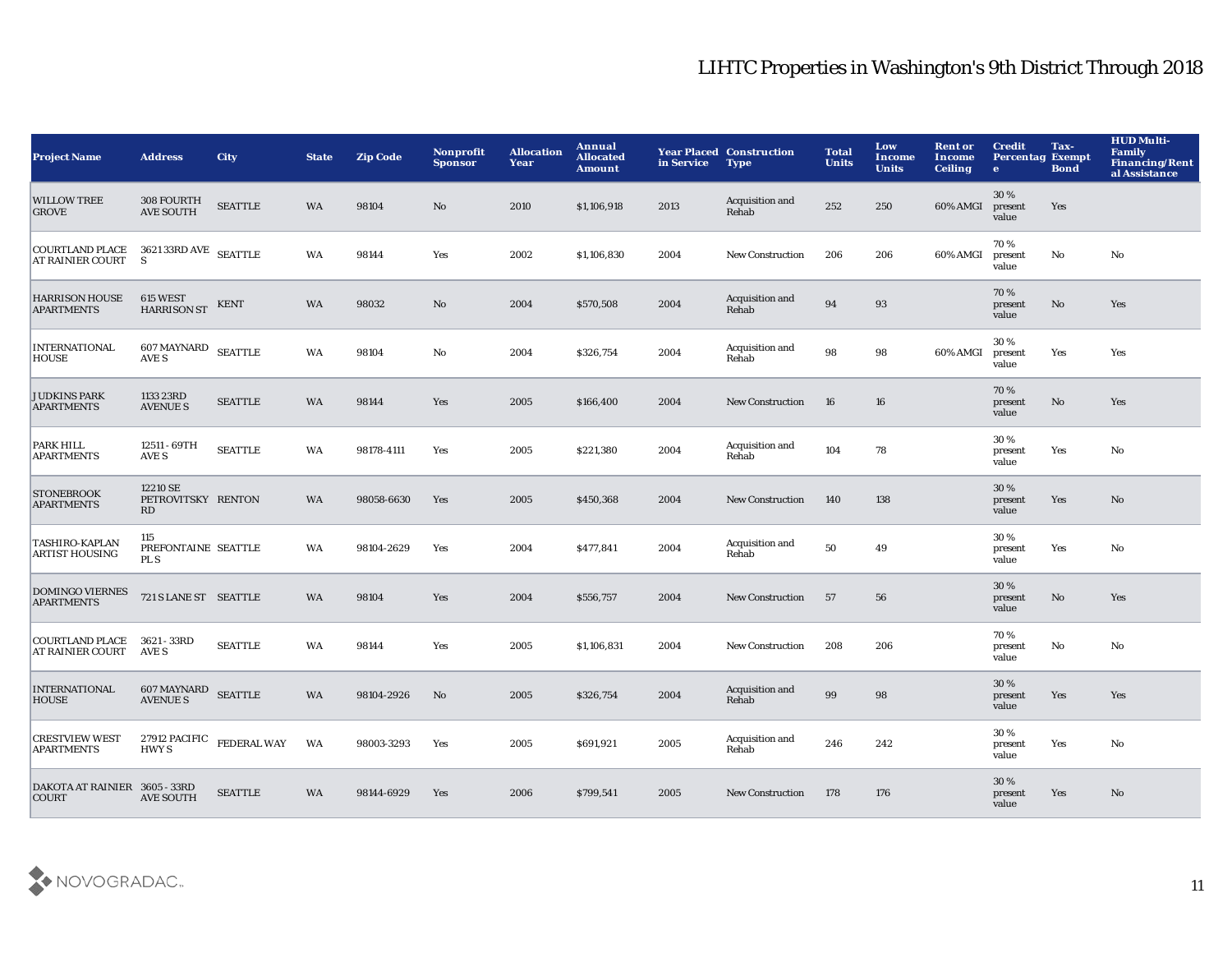| <b>Project Name</b>                                              | <b>Address</b>                         | <b>City</b>               | <b>State</b> | <b>Zip Code</b> | Nonprofit<br><b>Sponsor</b> | <b>Allocation</b><br>Year | Annual<br><b>Allocated</b><br><b>Amount</b> | in Service | <b>Year Placed Construction</b><br><b>Type</b> | <b>Total</b><br><b>Units</b> | Low<br>Income<br><b>Units</b> | <b>Rent or</b><br><b>Income</b><br><b>Ceiling</b> | <b>Credit</b><br><b>Percentag Exempt</b><br>$\mathbf{e}$ | Tax-<br><b>Bond</b> | <b>HUD Multi-</b><br><b>Family</b><br><b>Financing/Rent</b><br>al Assistance |
|------------------------------------------------------------------|----------------------------------------|---------------------------|--------------|-----------------|-----------------------------|---------------------------|---------------------------------------------|------------|------------------------------------------------|------------------------------|-------------------------------|---------------------------------------------------|----------------------------------------------------------|---------------------|------------------------------------------------------------------------------|
| <b>WILLOW TREE</b><br><b>GROVE</b>                               | 308 FOURTH<br><b>AVE SOUTH</b>         | <b>SEATTLE</b>            | <b>WA</b>    | 98104           | No                          | 2010                      | \$1,106,918                                 | 2013       | Acquisition and<br>Rehab                       | 252                          | 250                           | 60% AMGI                                          | 30%<br>present<br>value                                  | Yes                 |                                                                              |
| COURTLAND PLACE 3621 33RD AVE SEATTLE<br><b>AT RAINIER COURT</b> | S.                                     |                           | <b>WA</b>    | 98144           | Yes                         | 2002                      | \$1,106,830                                 | 2004       | <b>New Construction</b>                        | 206                          | 206                           | 60% AMGI                                          | 70%<br>present<br>value                                  | No                  | No                                                                           |
| <b>HARRISON HOUSE</b><br><b>APARTMENTS</b>                       | 615 WEST<br><b>HARRISON ST</b>         | <b>KENT</b>               | <b>WA</b>    | 98032           | $\mathbf{N}\mathbf{o}$      | 2004                      | \$570,508                                   | 2004       | Acquisition and<br>Rehab                       | 94                           | 93                            |                                                   | 70%<br>present<br>value                                  | No                  | Yes                                                                          |
| <b>INTERNATIONAL</b><br><b>HOUSE</b>                             | <b>607 MAYNARD</b><br>AVE S            | <b>SEATTLE</b>            | <b>WA</b>    | 98104           | No                          | 2004                      | \$326,754                                   | 2004       | Acquisition and<br>Rehab                       | 98                           | 98                            | 60% AMGI                                          | 30%<br>present<br>value                                  | Yes                 | Yes                                                                          |
| <b>JUDKINS PARK</b><br><b>APARTMENTS</b>                         | 1133 23RD<br><b>AVENUE S</b>           | <b>SEATTLE</b>            | <b>WA</b>    | 98144           | Yes                         | 2005                      | \$166,400                                   | 2004       | <b>New Construction</b>                        | 16                           | 16                            |                                                   | 70%<br>present<br>value                                  | No                  | Yes                                                                          |
| PARK HILL<br><b>APARTMENTS</b>                                   | 12511 - 69TH<br>AVE S                  | <b>SEATTLE</b>            | WA           | 98178-4111      | Yes                         | 2005                      | \$221,380                                   | 2004       | Acquisition and<br>Rehab                       | 104                          | 78                            |                                                   | 30 %<br>present<br>value                                 | Yes                 | No                                                                           |
| <b>STONEBROOK</b><br><b>APARTMENTS</b>                           | 12210 SE<br>PETROVITSKY RENTON<br>RD   |                           | <b>WA</b>    | 98058-6630      | Yes                         | 2005                      | \$450,368                                   | 2004       | <b>New Construction</b>                        | 140                          | 138                           |                                                   | 30 %<br>present<br>value                                 | Yes                 | No                                                                           |
| TASHIRO-KAPLAN<br><b>ARTIST HOUSING</b>                          | 115<br>PREFONTAINE SEATTLE<br>PL S     |                           | WA           | 98104-2629      | Yes                         | 2004                      | \$477,841                                   | 2004       | Acquisition and<br>Rehab                       | 50                           | 49                            |                                                   | 30%<br>present<br>value                                  | Yes                 | No                                                                           |
| DOMINGO VIERNES<br><b>APARTMENTS</b>                             | 721 S LANE ST SEATTLE                  |                           | <b>WA</b>    | 98104           | Yes                         | 2004                      | \$556,757                                   | 2004       | <b>New Construction</b>                        | 57                           | 56                            |                                                   | 30 %<br>present<br>value                                 | No                  | Yes                                                                          |
| <b>COURTLAND PLACE</b><br><b>AT RAINIER COURT</b>                | 3621 - 33RD<br>AVE S                   | <b>SEATTLE</b>            | WA           | 98144           | Yes                         | 2005                      | \$1,106,831                                 | 2004       | <b>New Construction</b>                        | 208                          | 206                           |                                                   | 70%<br>present<br>value                                  | No                  | No                                                                           |
| <b>INTERNATIONAL</b><br><b>HOUSE</b>                             | 607 MAYNARD SEATTLE<br><b>AVENUE S</b> |                           | <b>WA</b>    | 98104-2926      | No                          | 2005                      | \$326,754                                   | 2004       | Acquisition and<br>Rehab                       | 99                           | 98                            |                                                   | 30 %<br>present<br>value                                 | Yes                 | Yes                                                                          |
| <b>CRESTVIEW WEST</b><br><b>APARTMENTS</b>                       | <b>HWYS</b>                            | 27912 PACIFIC FEDERAL WAY | <b>WA</b>    | 98003-3293      | Yes                         | 2005                      | \$691,921                                   | 2005       | Acquisition and<br>Rehab                       | 246                          | 242                           |                                                   | 30%<br>present<br>value                                  | Yes                 | No                                                                           |
| DAKOTA AT RAINIER 3605 - 33RD<br><b>COURT</b>                    | <b>AVE SOUTH</b>                       | <b>SEATTLE</b>            | <b>WA</b>    | 98144-6929      | Yes                         | 2006                      | \$799,541                                   | 2005       | <b>New Construction</b>                        | 178                          | 176                           |                                                   | 30%<br>present<br>value                                  | Yes                 | No                                                                           |

![](_page_11_Picture_2.jpeg)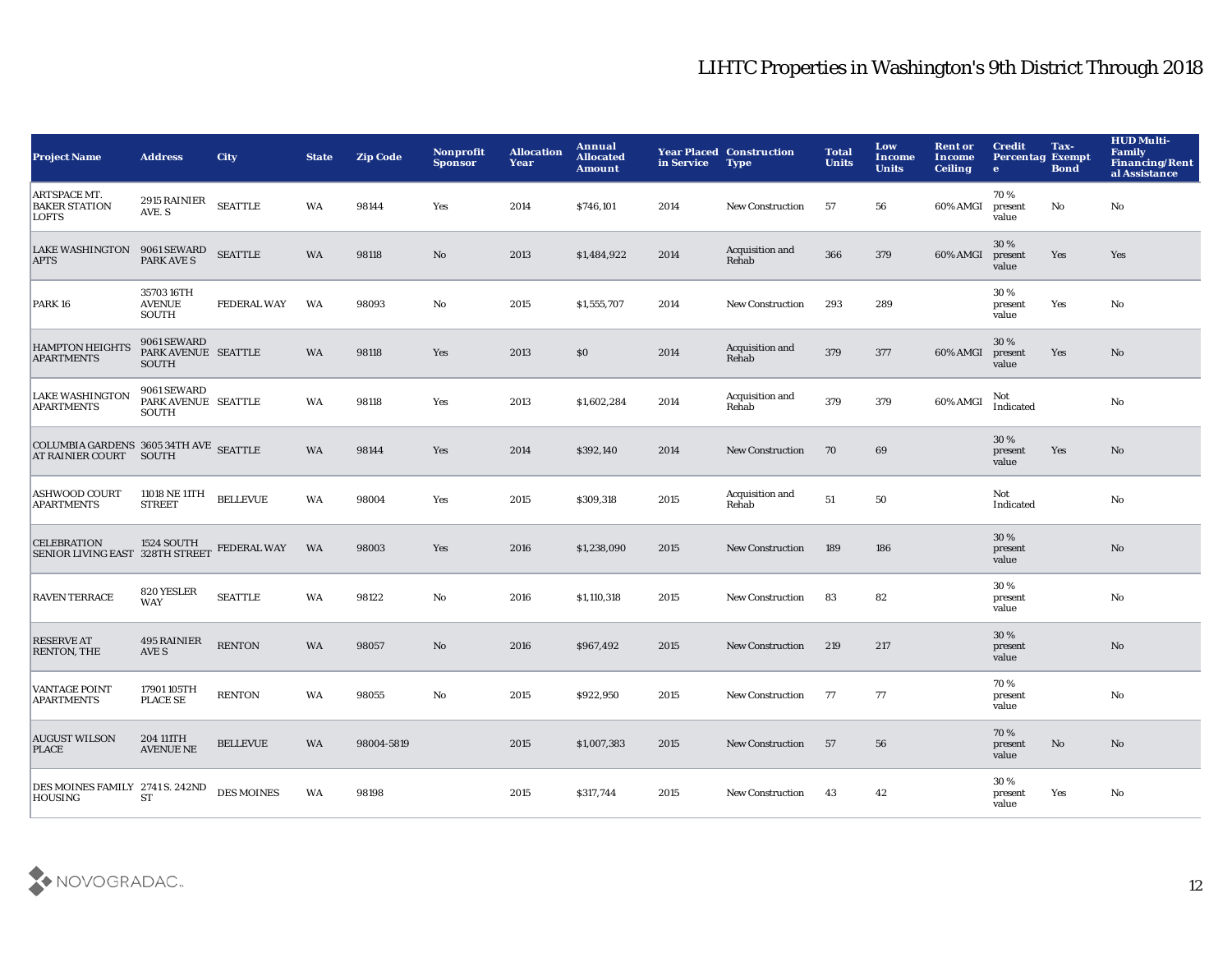| <b>Project Name</b>                                                     | <b>Address</b>                                     | <b>City</b>        | <b>State</b> | <b>Zip Code</b> | <b>Nonprofit</b><br><b>Sponsor</b> | <b>Allocation</b><br>Year | Annual<br><b>Allocated</b><br><b>Amount</b> | in Service | <b>Year Placed Construction</b><br><b>Type</b> | <b>Total</b><br><b>Units</b> | Low<br>Income<br><b>Units</b> | <b>Rent or</b><br><b>Income</b><br><b>Ceiling</b> | <b>Credit</b><br><b>Percentag Exempt</b><br>$\mathbf{e}$ | Tax-<br><b>Bond</b>    | <b>HUD Multi-</b><br><b>Family</b><br><b>Financing/Rent</b><br>al Assistance |
|-------------------------------------------------------------------------|----------------------------------------------------|--------------------|--------------|-----------------|------------------------------------|---------------------------|---------------------------------------------|------------|------------------------------------------------|------------------------------|-------------------------------|---------------------------------------------------|----------------------------------------------------------|------------------------|------------------------------------------------------------------------------|
| ARTSPACE MT.<br><b>BAKER STATION</b><br>LOFTS                           | 2915 RAINIER<br>AVE. S                             | <b>SEATTLE</b>     | WA           | 98144           | Yes                                | 2014                      | \$746,101                                   | 2014       | New Construction                               | 57                           | 56                            | 60% AMGI                                          | 70%<br>present<br>value                                  | No                     | No                                                                           |
| <b>LAKE WASHINGTON</b><br><b>APTS</b>                                   | 9061 SEWARD<br><b>PARK AVE S</b>                   | <b>SEATTLE</b>     | WA           | 98118           | $\mathbf {No}$                     | 2013                      | \$1,484,922                                 | 2014       | Acquisition and<br>Rehab                       | 366                          | 379                           | 60% AMGI                                          | 30%<br>present<br>value                                  | Yes                    | Yes                                                                          |
| <b>PARK 16</b>                                                          | 3570316TH<br><b>AVENUE</b><br>SOUTH                | <b>FEDERAL WAY</b> | WA           | 98093           | $\mathbf{No}$                      | 2015                      | \$1,555,707                                 | 2014       | <b>New Construction</b>                        | 293                          | 289                           |                                                   | 30%<br>present<br>value                                  | Yes                    | No                                                                           |
| <b>HAMPTON HEIGHTS</b><br><b>APARTMENTS</b>                             | 9061 SEWARD<br>PARK AVENUE SEATTLE<br><b>SOUTH</b> |                    | <b>WA</b>    | 98118           | Yes                                | 2013                      | \$0                                         | 2014       | Acquisition and<br>Rehab                       | 379                          | 377                           | 60% AMGI                                          | 30%<br>present<br>value                                  | Yes                    | No                                                                           |
| <b>LAKE WASHINGTON</b><br><b>APARTMENTS</b>                             | 9061 SEWARD<br>PARK AVENUE SEATTLE<br><b>SOUTH</b> |                    | WA           | 98118           | Yes                                | 2013                      | \$1,602,284                                 | 2014       | Acquisition and<br>Rehab                       | 379                          | 379                           | 60% AMGI                                          | Not<br>Indicated                                         |                        | No                                                                           |
| <b>COLUMBIA GARDENS 3605 34TH AVE SEATTLE</b><br>AT RAINIER COURT SOUTH |                                                    |                    | WA           | 98144           | Yes                                | 2014                      | \$392,140                                   | 2014       | New Construction                               | 70                           | 69                            |                                                   | 30%<br>present<br>value                                  | Yes                    | No                                                                           |
| ASHWOOD COURT<br><b>APARTMENTS</b>                                      | 11018 NE 11TH<br><b>STREET</b>                     | <b>BELLEVUE</b>    | <b>WA</b>    | 98004           | Yes                                | 2015                      | \$309,318                                   | 2015       | Acquisition and<br>Rehab                       | 51                           | 50                            |                                                   | Not<br>Indicated                                         |                        | No                                                                           |
| CELEBRATION 1524 SOUTH<br>SENIOR LIVING EAST 328TH STREET               |                                                    | <b>FEDERAL WAY</b> | <b>WA</b>    | 98003           | Yes                                | 2016                      | \$1,238,090                                 | 2015       | <b>New Construction</b>                        | 189                          | 186                           |                                                   | 30%<br>present<br>value                                  |                        | No                                                                           |
| <b>RAVEN TERRACE</b>                                                    | 820 YESLER<br><b>WAY</b>                           | <b>SEATTLE</b>     | <b>WA</b>    | 98122           | No                                 | 2016                      | \$1,110,318                                 | 2015       | <b>New Construction</b>                        | 83                           | 82                            |                                                   | 30 %<br>present<br>value                                 |                        | No                                                                           |
| <b>RESERVE AT</b><br><b>RENTON, THE</b>                                 | 495 RAINIER<br>AVE S                               | <b>RENTON</b>      | WA           | 98057           | No                                 | 2016                      | \$967,492                                   | 2015       | <b>New Construction</b>                        | 219                          | 217                           |                                                   | 30 %<br>present<br>value                                 |                        | $\mathbf{N}\mathbf{o}$                                                       |
| <b>VANTAGE POINT</b><br><b>APARTMENTS</b>                               | 17901 105TH<br>PLACE SE                            | <b>RENTON</b>      | WA           | 98055           | No                                 | 2015                      | \$922,950                                   | 2015       | <b>New Construction</b>                        | 77                           | 77                            |                                                   | 70%<br>present<br>value                                  |                        | No                                                                           |
| <b>AUGUST WILSON</b><br><b>PLACE</b>                                    | 204 111TH<br><b>AVENUE NE</b>                      | <b>BELLEVUE</b>    | WA           | 98004-5819      |                                    | 2015                      | \$1,007,383                                 | 2015       | <b>New Construction</b>                        | 57                           | 56                            |                                                   | 70 %<br>present<br>value                                 | $\mathbf{N}\mathbf{o}$ | No                                                                           |
| DES MOINES FAMILY 2741 S. 242ND<br><b>HOUSING</b>                       | <b>ST</b>                                          | <b>DES MOINES</b>  | WA           | 98198           |                                    | 2015                      | \$317,744                                   | 2015       | <b>New Construction</b>                        | 43                           | 42                            |                                                   | 30%<br>present<br>value                                  | Yes                    | No                                                                           |

![](_page_12_Picture_2.jpeg)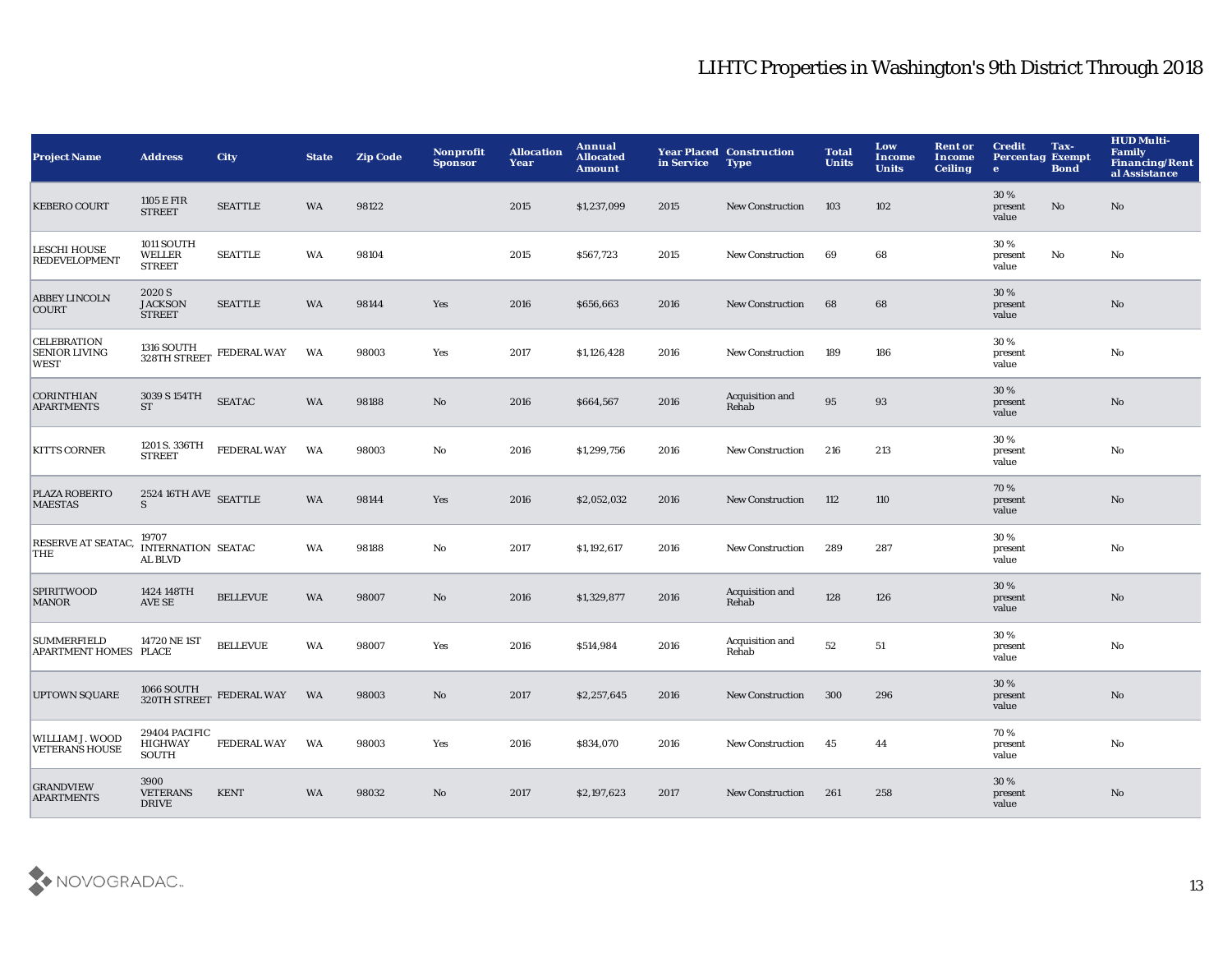| <b>Project Name</b>                                       | <b>Address</b>                                       | <b>City</b>                                             | <b>State</b> | <b>Zip Code</b> | Nonprofit<br><b>Sponsor</b> | <b>Allocation</b><br>Year | <b>Annual</b><br><b>Allocated</b><br><b>Amount</b> | in Service | <b>Year Placed Construction</b><br><b>Type</b> | <b>Total</b><br><b>Units</b> | Low<br><b>Income</b><br><b>Units</b> | <b>Rent or</b><br><b>Income</b><br><b>Ceiling</b> | <b>Credit</b><br><b>Percentag Exempt</b><br>$\mathbf{e}$ | Tax-<br><b>Bond</b> | <b>HUD Multi-</b><br>Family<br><b>Financing/Rent</b><br>al Assistance |
|-----------------------------------------------------------|------------------------------------------------------|---------------------------------------------------------|--------------|-----------------|-----------------------------|---------------------------|----------------------------------------------------|------------|------------------------------------------------|------------------------------|--------------------------------------|---------------------------------------------------|----------------------------------------------------------|---------------------|-----------------------------------------------------------------------|
| <b>KEBERO COURT</b>                                       | 1105 E FIR<br><b>STREET</b>                          | <b>SEATTLE</b>                                          | <b>WA</b>    | 98122           |                             | 2015                      | \$1,237,099                                        | 2015       | <b>New Construction</b>                        | 103                          | 102                                  |                                                   | 30%<br>present<br>value                                  | No                  | No                                                                    |
| <b>LESCHI HOUSE</b><br><b>REDEVELOPMENT</b>               | 1011 SOUTH<br>WELLER<br><b>STREET</b>                | <b>SEATTLE</b>                                          | WA           | 98104           |                             | 2015                      | \$567,723                                          | 2015       | <b>New Construction</b>                        | 69                           | 68                                   |                                                   | 30%<br>present<br>value                                  | No                  | No                                                                    |
| <b>ABBEY LINCOLN</b><br><b>COURT</b>                      | 2020 S<br><b>JACKSON</b><br><b>STREET</b>            | <b>SEATTLE</b>                                          | WA           | 98144           | Yes                         | 2016                      | \$656,663                                          | 2016       | New Construction                               | 68                           | 68                                   |                                                   | 30%<br>present<br>value                                  |                     | $\mathbf{N}\mathbf{o}$                                                |
| <b>CELEBRATION</b><br><b>SENIOR LIVING</b><br><b>WEST</b> |                                                      | $1316$ SOUTH $$328\mathrm{TH}\,$ STREET $~$ FEDERAL WAY | WA           | 98003           | Yes                         | 2017                      | \$1,126,428                                        | 2016       | <b>New Construction</b>                        | 189                          | 186                                  |                                                   | 30%<br>present<br>value                                  |                     | $\mathbf{N}\mathbf{o}$                                                |
| <b>CORINTHIAN</b><br><b>APARTMENTS</b>                    | 3039 S 154TH<br><b>ST</b>                            | <b>SEATAC</b>                                           | WA           | 98188           | $\mathbf{N}\mathbf{o}$      | 2016                      | \$664,567                                          | 2016       | Acquisition and<br>Rehab                       | 95                           | 93                                   |                                                   | 30%<br>present<br>value                                  |                     | $\mathbf{N}\mathbf{o}$                                                |
| <b>KITTS CORNER</b>                                       | 1201 S. 336TH<br><b>STREET</b>                       | <b>FEDERAL WAY</b>                                      | WA           | 98003           | $\rm No$                    | 2016                      | \$1,299,756                                        | 2016       | <b>New Construction</b>                        | 216                          | 213                                  |                                                   | 30%<br>present<br>value                                  |                     | $\mathbf{N}\mathbf{o}$                                                |
| PLAZA ROBERTO<br><b>MAESTAS</b>                           | $2524$ 16TH AVE $\,$ SEATTLE<br>S                    |                                                         | WA           | 98144           | Yes                         | 2016                      | \$2,052,032                                        | 2016       | New Construction                               | 112                          | 110                                  |                                                   | 70%<br>present<br>value                                  |                     | No                                                                    |
| RESERVE AT SEATAC,<br>THE                                 | 19707<br><b>INTERNATION SEATAC</b><br><b>AL BLVD</b> |                                                         | WA           | 98188           | No                          | 2017                      | \$1,192,617                                        | 2016       | <b>New Construction</b>                        | 289                          | 287                                  |                                                   | 30%<br>present<br>value                                  |                     | $\mathbf{N}\mathbf{o}$                                                |
| <b>SPIRITWOOD</b><br><b>MANOR</b>                         | 1424 148TH<br>AVE SE                                 | <b>BELLEVUE</b>                                         | WA           | 98007           | No                          | 2016                      | \$1,329,877                                        | 2016       | Acquisition and<br>Rehab                       | 128                          | 126                                  |                                                   | 30%<br>present<br>value                                  |                     | $\rm\thinspace No$                                                    |
| <b>SUMMERFIELD</b><br>APARTMENT HOMES PLACE               | 14720 NE 1ST                                         | <b>BELLEVUE</b>                                         | WA           | 98007           | Yes                         | 2016                      | \$514,984                                          | 2016       | Acquisition and<br>Rehab                       | 52                           | 51                                   |                                                   | 30%<br>present<br>value                                  |                     | No                                                                    |
| <b>UPTOWN SQUARE</b>                                      | 1066 SOUTH<br>320TH STREET                           | <b>FEDERAL WAY</b>                                      | WA           | 98003           | $\mathbf{N}\mathbf{o}$      | 2017                      | \$2,257,645                                        | 2016       | <b>New Construction</b>                        | 300                          | 296                                  |                                                   | 30%<br>present<br>value                                  |                     | No                                                                    |
| WILLIAM J. WOOD<br><b>VETERANS HOUSE</b>                  | 29404 PACIFIC<br><b>HIGHWAY</b><br>SOUTH             | <b>FEDERAL WAY</b>                                      | WA           | 98003           | Yes                         | 2016                      | \$834,070                                          | 2016       | <b>New Construction</b>                        | 45                           | 44                                   |                                                   | 70%<br>present<br>value                                  |                     | $\mathbf{N}\mathbf{o}$                                                |
| <b>GRANDVIEW</b><br><b>APARTMENTS</b>                     | 3900<br><b>VETERANS</b><br><b>DRIVE</b>              | <b>KENT</b>                                             | <b>WA</b>    | 98032           | No                          | 2017                      | \$2,197,623                                        | 2017       | <b>New Construction</b>                        | 261                          | 258                                  |                                                   | 30%<br>present<br>value                                  |                     | No                                                                    |

![](_page_13_Picture_2.jpeg)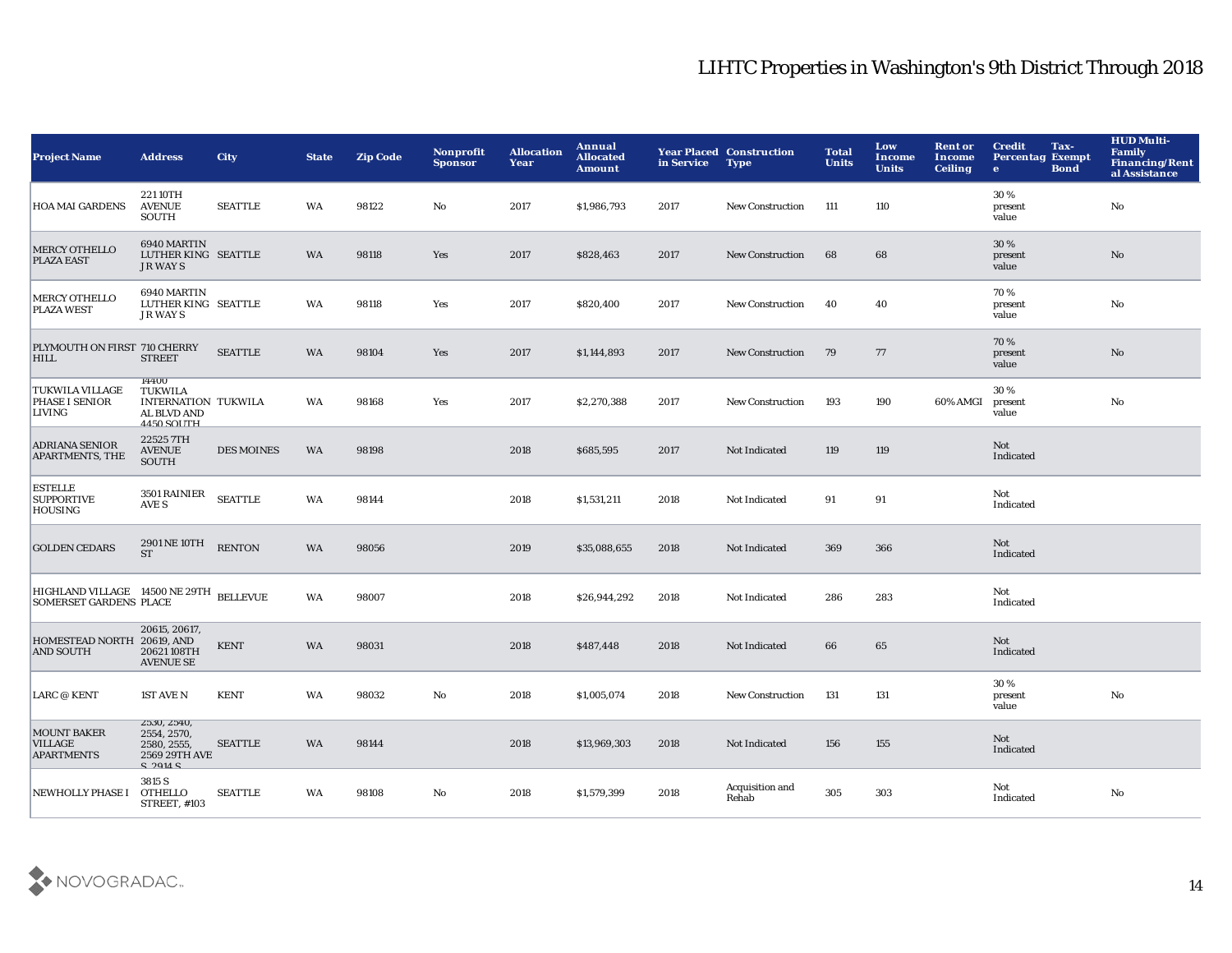| <b>Project Name</b>                                                      | <b>Address</b>                                                                                    | <b>City</b>       | <b>State</b> | <b>Zip Code</b> | Nonprofit<br><b>Sponsor</b> | <b>Allocation</b><br>Year | Annual<br><b>Allocated</b><br><b>Amount</b> | in Service | <b>Year Placed Construction</b><br><b>Type</b> | <b>Total</b><br><b>Units</b> | Low<br><b>Income</b><br><b>Units</b> | <b>Rent or</b><br><b>Income</b><br><b>Ceiling</b> | <b>Credit</b><br>Tax-<br><b>Percentag Exempt</b><br><b>Bond</b><br>$\mathbf{e}$ | <b>HUD Multi-</b><br><b>Family</b><br><b>Financing/Rent</b><br>al Assistance |
|--------------------------------------------------------------------------|---------------------------------------------------------------------------------------------------|-------------------|--------------|-----------------|-----------------------------|---------------------------|---------------------------------------------|------------|------------------------------------------------|------------------------------|--------------------------------------|---------------------------------------------------|---------------------------------------------------------------------------------|------------------------------------------------------------------------------|
| <b>HOA MAI GARDENS</b>                                                   | 22110TH<br><b>AVENUE</b><br><b>SOUTH</b>                                                          | <b>SEATTLE</b>    | WA           | 98122           | No                          | 2017                      | \$1,986,793                                 | 2017       | <b>New Construction</b>                        | 111                          | 110                                  |                                                   | 30%<br>present<br>value                                                         | No                                                                           |
| MERCY OTHELLO<br><b>PLAZA EAST</b>                                       | 6940 MARTIN<br>LUTHER KING SEATTLE<br><b>JR WAYS</b>                                              |                   | WA           | 98118           | Yes                         | 2017                      | \$828,463                                   | 2017       | <b>New Construction</b>                        | 68                           | 68                                   |                                                   | 30%<br>present<br>value                                                         | $\mathbf{N}\mathbf{o}$                                                       |
| <b>MERCY OTHELLO</b><br><b>PLAZA WEST</b>                                | 6940 MARTIN<br>LUTHER KING SEATTLE<br><b>JR WAYS</b>                                              |                   | WA           | 98118           | Yes                         | 2017                      | \$820,400                                   | 2017       | New Construction                               | 40                           | 40                                   |                                                   | 70%<br>present<br>value                                                         | No                                                                           |
| PLYMOUTH ON FIRST 710 CHERRY<br><b>HILL</b>                              | <b>STREET</b>                                                                                     | <b>SEATTLE</b>    | WA           | 98104           | Yes                         | 2017                      | \$1,144,893                                 | 2017       | <b>New Construction</b>                        | 79                           | 77                                   |                                                   | 70%<br>present<br>value                                                         | No                                                                           |
| <b>TUKWILA VILLAGE</b><br>PHASE I SENIOR<br><b>LIVING</b>                | 14400<br><b>TUKWILA</b><br><b>INTERNATION TUKWILA</b><br><b>AL BLVD AND</b><br><b>4450 SOLITH</b> |                   | WA           | 98168           | Yes                         | 2017                      | \$2,270,388                                 | 2017       | New Construction                               | 193                          | 190                                  | 60% AMGI                                          | 30%<br>present<br>value                                                         | No                                                                           |
| <b>ADRIANA SENIOR</b><br>APARTMENTS, THE                                 | 225257TH<br><b>AVENUE</b><br><b>SOUTH</b>                                                         | <b>DES MOINES</b> | WA           | 98198           |                             | 2018                      | \$685,595                                   | 2017       | Not Indicated                                  | 119                          | 119                                  |                                                   | Not<br>Indicated                                                                |                                                                              |
| <b>ESTELLE</b><br><b>SUPPORTIVE</b><br><b>HOUSING</b>                    | 3501 RAINIER<br>AVE S                                                                             | <b>SEATTLE</b>    | WA           | 98144           |                             | 2018                      | \$1,531,211                                 | 2018       | Not Indicated                                  | 91                           | 91                                   |                                                   | Not<br>Indicated                                                                |                                                                              |
| <b>GOLDEN CEDARS</b>                                                     | 2901 NE 10TH<br>ST                                                                                | <b>RENTON</b>     | WA           | 98056           |                             | 2019                      | \$35,088,655                                | 2018       | Not Indicated                                  | 369                          | 366                                  |                                                   | Not<br>Indicated                                                                |                                                                              |
| HIGHLAND VILLAGE 14500 NE 29TH BELLEVUE<br><b>SOMERSET GARDENS PLACE</b> |                                                                                                   |                   | WA           | 98007           |                             | 2018                      | \$26,944,292                                | 2018       | Not Indicated                                  | 286                          | 283                                  |                                                   | Not<br>Indicated                                                                |                                                                              |
| HOMESTEAD NORTH 20619, AND<br><b>AND SOUTH</b>                           | 20615, 20617,<br>20621108TH<br><b>AVENUE SE</b>                                                   | <b>KENT</b>       | WA           | 98031           |                             | 2018                      | \$487,448                                   | 2018       | Not Indicated                                  | 66                           | 65                                   |                                                   | <b>Not</b><br>Indicated                                                         |                                                                              |
| LARC @ KENT                                                              | 1ST AVE N                                                                                         | <b>KENT</b>       | WA           | 98032           | No                          | 2018                      | \$1,005,074                                 | 2018       | <b>New Construction</b>                        | 131                          | 131                                  |                                                   | 30%<br>present<br>value                                                         | No                                                                           |
| <b>MOUNT BAKER</b><br><b>VILLAGE</b><br><b>APARTMENTS</b>                | 2530, 2540,<br>2554, 2570,<br>2580, 2555,<br>2569 29TH AVE<br>$S$ 2014 $S$                        | <b>SEATTLE</b>    | <b>WA</b>    | 98144           |                             | 2018                      | \$13,969,303                                | 2018       | <b>Not Indicated</b>                           | 156                          | 155                                  |                                                   | Not<br>Indicated                                                                |                                                                              |
| <b>NEWHOLLY PHASE I</b>                                                  | 3815 S<br><b>OTHELLO</b><br><b>STREET, #103</b>                                                   | <b>SEATTLE</b>    | WA           | 98108           | No                          | 2018                      | \$1,579,399                                 | 2018       | Acquisition and<br>Rehab                       | 305                          | 303                                  |                                                   | Not<br>Indicated                                                                | No                                                                           |

![](_page_14_Picture_2.jpeg)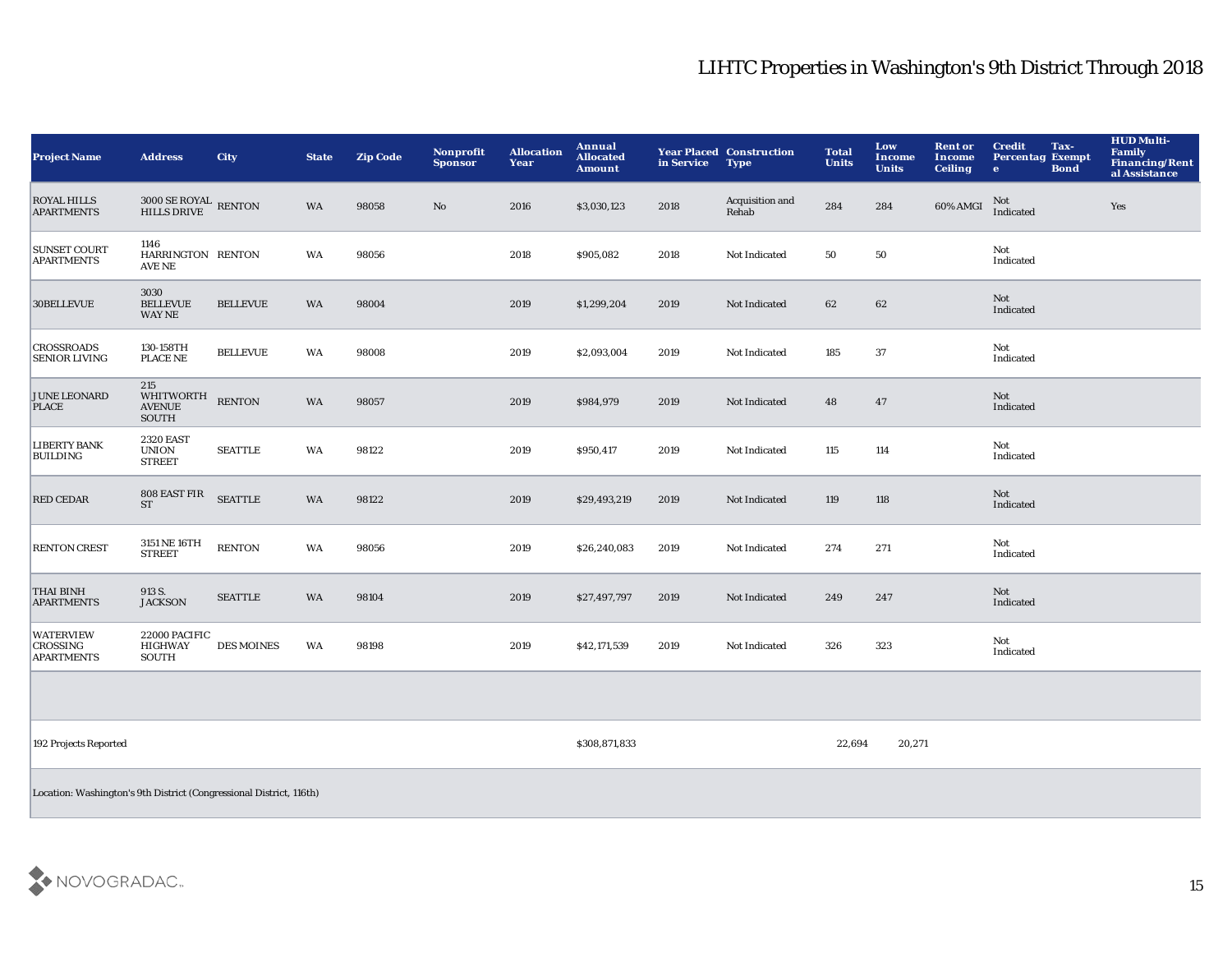| <b>Project Name</b>                               | <b>Address</b>                                                      | <b>City</b>       | <b>State</b> | <b>Zip Code</b> | <b>Nonprofit</b><br><b>Sponsor</b> | <b>Allocation</b><br>Year | Annual<br><b>Allocated</b><br><b>Amount</b> | in Service | <b>Year Placed Construction</b><br><b>Type</b> | <b>Total</b><br><b>Units</b> | Low<br>Income<br><b>Units</b> | <b>Rent or</b><br>Income<br><b>Ceiling</b> | Tax-<br><b>Credit</b><br><b>Percentag Exempt</b><br><b>Bond</b><br>e. | <b>HUD Multi-</b><br><b>Family</b><br><b>Financing/Rent</b><br>al Assistance |
|---------------------------------------------------|---------------------------------------------------------------------|-------------------|--------------|-----------------|------------------------------------|---------------------------|---------------------------------------------|------------|------------------------------------------------|------------------------------|-------------------------------|--------------------------------------------|-----------------------------------------------------------------------|------------------------------------------------------------------------------|
| <b>ROYAL HILLS</b><br><b>APARTMENTS</b>           | $3000$ SE ROYAL RENTON HILLS DRIVE                                  |                   | WA           | 98058           | $\rm\thinspace No$                 | 2016                      | \$3,030,123                                 | 2018       | Acquisition and<br>Rehab                       | 284                          | 284                           | $60\%$ AMGI                                | Not<br>Indicated                                                      | Yes                                                                          |
| <b>SUNSET COURT</b><br><b>APARTMENTS</b>          | 1146<br>HARRINGTON RENTON<br>AVE NE                                 |                   | WA           | 98056           |                                    | 2018                      | \$905,082                                   | 2018       | Not Indicated                                  | 50                           | 50                            |                                            | Not<br>Indicated                                                      |                                                                              |
| 30BELLEVUE                                        | 3030<br><b>BELLEVUE</b><br><b>WAY NE</b>                            | <b>BELLEVUE</b>   | WA           | 98004           |                                    | 2019                      | \$1,299,204                                 | 2019       | Not Indicated                                  | 62                           | 62                            |                                            | Not<br>Indicated                                                      |                                                                              |
| <b>CROSSROADS</b><br><b>SENIOR LIVING</b>         | 130-158TH<br><b>PLACE NE</b>                                        | <b>BELLEVUE</b>   | WA           | 98008           |                                    | 2019                      | \$2,093,004                                 | 2019       | Not Indicated                                  | 185                          | 37                            |                                            | Not<br>Indicated                                                      |                                                                              |
| <b>JUNE LEONARD</b><br>PLACE                      | 215<br><b>WHITWORTH</b><br><b>AVENUE</b><br>SOUTH                   | <b>RENTON</b>     | WA           | 98057           |                                    | 2019                      | \$984,979                                   | 2019       | Not Indicated                                  | 48                           | 47                            |                                            | Not<br>Indicated                                                      |                                                                              |
| <b>LIBERTY BANK</b><br><b>BUILDING</b>            | <b>2320 EAST</b><br><b>UNION</b><br><b>STREET</b>                   | <b>SEATTLE</b>    | WA           | 98122           |                                    | 2019                      | \$950,417                                   | 2019       | Not Indicated                                  | 115                          | 114                           |                                            | Not<br>Indicated                                                      |                                                                              |
| <b>RED CEDAR</b>                                  | 808 EAST FIR<br><b>ST</b>                                           | <b>SEATTLE</b>    | WA           | 98122           |                                    | 2019                      | \$29,493,219                                | 2019       | Not Indicated                                  | 119                          | 118                           |                                            | Not<br>Indicated                                                      |                                                                              |
| <b>RENTON CREST</b>                               | 3151 NE 16TH<br><b>STREET</b>                                       | <b>RENTON</b>     | WA           | 98056           |                                    | 2019                      | \$26,240,083                                | 2019       | Not Indicated                                  | 274                          | 271                           |                                            | Not<br>Indicated                                                      |                                                                              |
| <b>THAI BINH</b><br><b>APARTMENTS</b>             | 913 S.<br><b>JACKSON</b>                                            | <b>SEATTLE</b>    | WA           | 98104           |                                    | 2019                      | \$27,497,797                                | 2019       | Not Indicated                                  | 249                          | 247                           |                                            | Not<br>Indicated                                                      |                                                                              |
| <b>WATERVIEW</b><br>CROSSING<br><b>APARTMENTS</b> | 22000 PACIFIC<br><b>HIGHWAY</b><br>SOUTH                            | <b>DES MOINES</b> | WA           | 98198           |                                    | 2019                      | \$42,171,539                                | 2019       | Not Indicated                                  | 326                          | 323                           |                                            | Not<br>Indicated                                                      |                                                                              |
|                                                   |                                                                     |                   |              |                 |                                    |                           |                                             |            |                                                |                              |                               |                                            |                                                                       |                                                                              |
| 192 Projects Reported                             |                                                                     |                   |              |                 |                                    |                           | \$308,871,833                               |            |                                                | 22,694                       | 20,271                        |                                            |                                                                       |                                                                              |
|                                                   | Location: Washington's 9th District (Congressional District, 116th) |                   |              |                 |                                    |                           |                                             |            |                                                |                              |                               |                                            |                                                                       |                                                                              |

![](_page_15_Picture_2.jpeg)